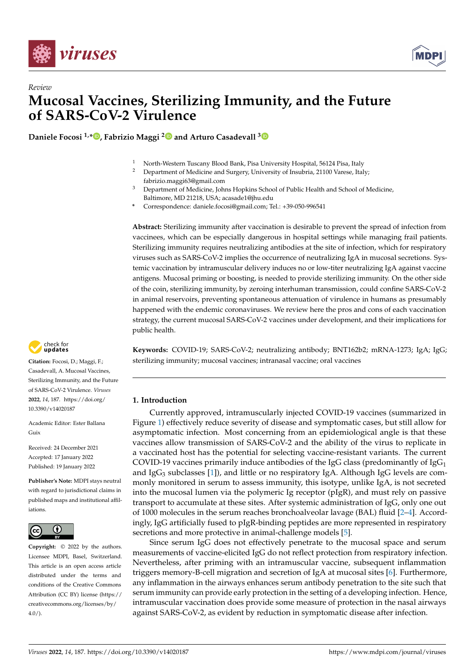

*Review*



# **Mucosal Vaccines, Sterilizing Immunity, and the Future of SARS-CoV-2 Virulence**

**Daniele Focosi 1,\* [,](https://orcid.org/0000-0001-8811-195X) Fabrizio Maggi [2](https://orcid.org/0000-0001-7489-5271) and Arturo Casadevall [3](https://orcid.org/0000-0002-9402-9167)**

- <sup>1</sup> North-Western Tuscany Blood Bank, Pisa University Hospital, 56124 Pisa, Italy<br><sup>2</sup> Department of Modicine and Surgery University of Insultria 21100 Versee Italy
- <sup>2</sup> Department of Medicine and Surgery, University of Insubria, 21100 Varese, Italy; fabrizio.maggi63@gmail.com
- <sup>3</sup> Department of Medicine, Johns Hopkins School of Public Health and School of Medicine, Baltimore, MD 21218, USA; acasade1@jhu.edu
- **\*** Correspondence: daniele.focosi@gmail.com; Tel.: +39-050-996541

**Abstract:** Sterilizing immunity after vaccination is desirable to prevent the spread of infection from vaccinees, which can be especially dangerous in hospital settings while managing frail patients. Sterilizing immunity requires neutralizing antibodies at the site of infection, which for respiratory viruses such as SARS-CoV-2 implies the occurrence of neutralizing IgA in mucosal secretions. Systemic vaccination by intramuscular delivery induces no or low-titer neutralizing IgA against vaccine antigens. Mucosal priming or boosting, is needed to provide sterilizing immunity. On the other side of the coin, sterilizing immunity, by zeroing interhuman transmission, could confine SARS-CoV-2 in animal reservoirs, preventing spontaneous attenuation of virulence in humans as presumably happened with the endemic coronaviruses. We review here the pros and cons of each vaccination strategy, the current mucosal SARS-CoV-2 vaccines under development, and their implications for public health.

**Keywords:** COVID-19; SARS-CoV-2; neutralizing antibody; BNT162b2; mRNA-1273; IgA; IgG; sterilizing immunity; mucosal vaccines; intranasal vaccine; oral vaccines

# **1. Introduction**

Currently approved, intramuscularly injected COVID-19 vaccines (summarized in Figure [1\)](#page-1-0) effectively reduce severity of disease and symptomatic cases, but still allow for asymptomatic infection. Most concerning from an epidemiological angle is that these vaccines allow transmission of SARS-CoV-2 and the ability of the virus to replicate in a vaccinated host has the potential for selecting vaccine-resistant variants. The current COVID-19 vaccines primarily induce antibodies of the IgG class (predominantly of IgG<sub>1</sub> and IgG<sub>3</sub> subclasses [\[1\]](#page-9-0)), and little or no respiratory IgA. Although IgG levels are commonly monitored in serum to assess immunity, this isotype, unlike IgA, is not secreted into the mucosal lumen via the polymeric Ig receptor (pIgR), and must rely on passive transport to accumulate at these sites. After systemic administration of IgG, only one out of 1000 molecules in the serum reaches bronchoalveolar lavage (BAL) fluid [\[2–](#page-9-1)[4\]](#page-9-2). Accordingly, IgG artificially fused to pIgR-binding peptides are more represented in respiratory secretions and more protective in animal-challenge models [\[5\]](#page-9-3).

Since serum IgG does not effectively penetrate to the mucosal space and serum measurements of vaccine-elicited IgG do not reflect protection from respiratory infection. Nevertheless, after priming with an intramuscular vaccine, subsequent inflammation triggers memory-B-cell migration and secretion of IgA at mucosal sites [\[6\]](#page-9-4). Furthermore, any inflammation in the airways enhances serum antibody penetration to the site such that serum immunity can provide early protection in the setting of a developing infection. Hence, intramuscular vaccination does provide some measure of protection in the nasal airways against SARS-CoV-2, as evident by reduction in symptomatic disease after infection.



**Citation:** Focosi, D.; Maggi, F.; Casadevall, A. Mucosal Vaccines, Sterilizing Immunity, and the Future of SARS-CoV-2 Virulence. *Viruses* **2022**, *14*, 187. [https://doi.org/](https://doi.org/10.3390/v14020187) [10.3390/v14020187](https://doi.org/10.3390/v14020187)

Academic Editor: Ester Ballana Guix

Received: 24 December 2021 Accepted: 17 January 2022 Published: 19 January 2022

**Publisher's Note:** MDPI stays neutral with regard to jurisdictional claims in published maps and institutional affiliations.



**Copyright:** © 2022 by the authors. Licensee MDPI, Basel, Switzerland. This article is an open access article distributed under the terms and conditions of the Creative Commons Attribution (CC BY) license [\(https://](https://creativecommons.org/licenses/by/4.0/) [creativecommons.org/licenses/by/](https://creativecommons.org/licenses/by/4.0/)  $4.0/$ ).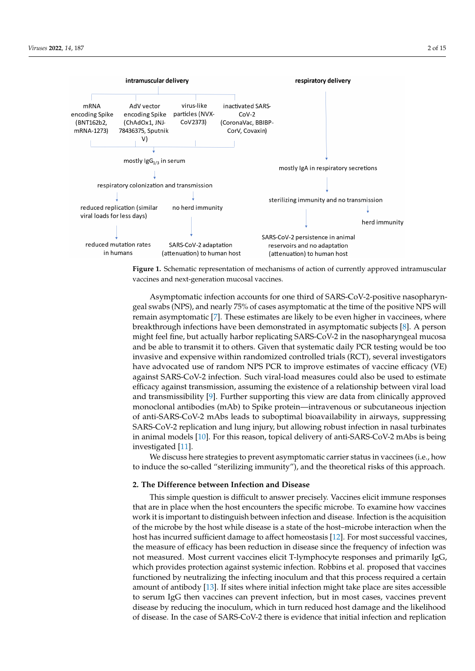<span id="page-1-0"></span>



Asymptomatic infection accounts for one third of SARS-CoV-2-positive nasopharyn-Asymptomatic infection accounts for one third of SARS-CoV-2-positive nasopharyn-geal swabs (NPS), and nearly 75% of cases asymptomatic at the time of the positive NPS win<br>remain asymptomatic [\[7\]](#page-9-5). These estimates are likely to be even higher in vaccinees, where will remain asymptomatic [7]. These estimates are likely to be even higher in vaccinees, breakthrough infections have been demonstrated in asymptomatic subjects [\[8\]](#page-9-6). A person where breakthrough infections have been demonstrated in asymptomatic subjects [8]. A might feel fine, but actually harbor replicating SARS-CoV-2 in the nasopharyngeal mucosa person might feel fine, but actually harbor replicating SARS-CoV-2 in the nasopharyngeal and be able to transmit it to others. Given that systematic daily PCR testing would be too invasive and expensive within randomized controlled trials (RCT), several investigators be to the expensive with experimental randomized controlled trials (RCC), several investigations have advocated use of random NPS PCR to improve estimates of vaccine efficacy (VE) against SARS-CoV-2 infection. Such viral-load measures could also be used to estimate or<br>efficacy against transmission, assuming the existence of a relationship between viral load and transmissibility [\[9\]](#page-9-7). Further supporting this view are data from clinically approved monoclonal antibodies (mAb) to Spike protein—intravenous or subcutaneous injection of anti-SARS-CoV-2 mAbs leads to suboptimal bioavailability in airways, suppressing SARS-CoV-2 replication and lung injury, but allowing robust infection in nasal turbinates in animal models [\[10\]](#page-9-8). For this reason, topical delivery of anti-SARS-CoV-2 mAbs is being turbinates in animal models in animal delivery of animal delivery of animal delivery of animal delivery of an<br>Investigated [\[11\]](#page-9-9). geal swabs (NPS), and nearly 75% of cases asymptomatic at the time of the positive NPS will

We discuss here strategies to prevent asymptomatic carrier status in vaccinees (i.e., how to induce the so-called "sterilizing immunity"), and the theoretical risks of this approach. how to induce the so-called "sterilizing immunity"), and the theoretical risks of this ap-

## 2. The Difference between Infection and Disease

that are in place when the host encounters the specific microbe. To examine how vaccines work it is important to distinguish between infection and disease. Infection is the acquisition of the microbe by the host while disease is a state of the host–microbe interaction when the host has incurred sufficient damage to affect homeostasis [\[12\]](#page-9-10). For most successful vaccines, the measure of efficacy has been reduction in disease since the frequency of infection was not measured. Most current vaccines elicit T-lymphocyte responses and primarily IgG, which provides protection against systemic infection. Robbins et al. proposed that vaccines This simple question is difficult to answer precisely. Vaccines elicit immune responses functioned by neutralizing the infecting inoculum and that this process required a certain amount of antibody [\[13\]](#page-9-11). If sites where initial infection might take place are sites accessible to serum IgG then vaccines can prevent infection, but in most cases, vaccines prevent disease by reducing the inoculum, which in turn reduced host damage and the likelihood of disease. In the case of SARS-CoV-2 there is evidence that initial infection and replication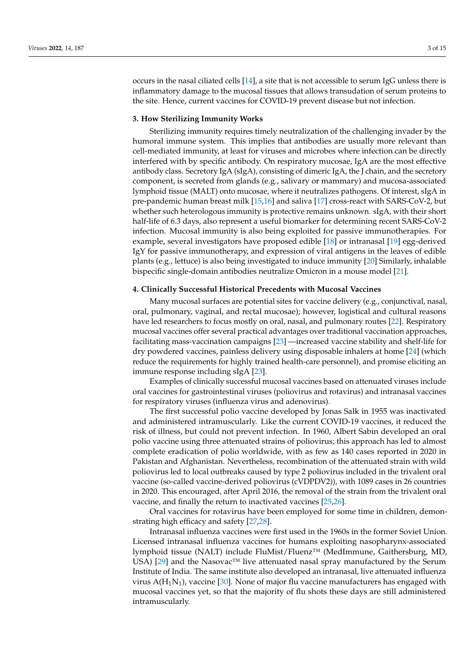occurs in the nasal ciliated cells [\[14\]](#page-9-12), a site that is not accessible to serum IgG unless there is inflammatory damage to the mucosal tissues that allows transudation of serum proteins to the site. Hence, current vaccines for COVID-19 prevent disease but not infection.

## **3. How Sterilizing Immunity Works**

Sterilizing immunity requires timely neutralization of the challenging invader by the humoral immune system. This implies that antibodies are usually more relevant than cell-mediated immunity, at least for viruses and microbes where infection can be directly interfered with by specific antibody. On respiratory mucosae, IgA are the most effective antibody class. Secretory IgA (sIgA), consisting of dimeric IgA, the J chain, and the secretory component, is secreted from glands (e.g., salivary or mammary) and mucosa-associated lymphoid tissue (MALT) onto mucosae, where it neutralizes pathogens. Of interest, sIgA in pre-pandemic human breast milk [\[15](#page-9-13)[,16\]](#page-9-14) and saliva [\[17\]](#page-9-15) cross-react with SARS-CoV-2, but whether such heterologous immunity is protective remains unknown. sIgA, with their short half-life of 6.3 days, also represent a useful biomarker for determining recent SARS-CoV-2 infection. Mucosal immunity is also being exploited for passive immunotherapies. For example, several investigators have proposed edible [\[18\]](#page-9-16) or intranasal [\[19\]](#page-9-17) egg-derived IgY for passive immunotherapy, and expression of viral antigens in the leaves of edible plants (e.g., lettuce) is also being investigated to induce immunity [\[20\]](#page-9-18) Similarly, inhalable bispecific single-domain antibodies neutralize Omicron in a mouse model [\[21\]](#page-10-0).

## **4. Clinically Successful Historical Precedents with Mucosal Vaccines**

Many mucosal surfaces are potential sites for vaccine delivery (e.g., conjunctival, nasal, oral, pulmonary, vaginal, and rectal mucosae); however, logistical and cultural reasons have led researchers to focus mostly on oral, nasal, and pulmonary routes [\[22\]](#page-10-1). Respiratory mucosal vaccines offer several practical advantages over traditional vaccination approaches, facilitating mass-vaccination campaigns [\[23\]](#page-10-2) —increased vaccine stability and shelf-life for dry powdered vaccines, painless delivery using disposable inhalers at home [\[24\]](#page-10-3) (which reduce the requirements for highly trained health-care personnel), and promise eliciting an immune response including sIgA [\[23\]](#page-10-2).

Examples of clinically successful mucosal vaccines based on attenuated viruses include oral vaccines for gastrointestinal viruses (poliovirus and rotavirus) and intranasal vaccines for respiratory viruses (influenza virus and adenovirus).

The first successful polio vaccine developed by Jonas Salk in 1955 was inactivated and administered intramuscularly. Like the current COVID-19 vaccines, it reduced the risk of illness, but could not prevent infection. In 1960, Albert Sabin developed an oral polio vaccine using three attenuated strains of poliovirus; this approach has led to almost complete eradication of polio worldwide, with as few as 140 cases reported in 2020 in Pakistan and Afghanistan. Nevertheless, recombination of the attenuated strain with wild poliovirus led to local outbreaks caused by type 2 poliovirus included in the trivalent oral vaccine (so-called vaccine-derived poliovirus (cVDPDV2)), with 1089 cases in 26 countries in 2020. This encouraged, after April 2016, the removal of the strain from the trivalent oral vaccine, and finally the return to inactivated vaccines [\[25](#page-10-4)[,26\]](#page-10-5).

Oral vaccines for rotavirus have been employed for some time in children, demonstrating high efficacy and safety [\[27](#page-10-6)[,28\]](#page-10-7).

Intranasal influenza vaccines were first used in the 1960s in the former Soviet Union. Licensed intranasal influenza vaccines for humans exploiting nasopharynx-associated lymphoid tissue (NALT) include FluMist/Fluenz™ (MedImmune, Gaithersburg, MD, USA) [\[29\]](#page-10-8) and the Nasovac™ live attenuated nasal spray manufactured by the Serum Institute of India. The same institute also developed an intranasal, live attenuated influenza virus  $A(H_1N_1)$ , vaccine [\[30\]](#page-10-9). None of major flu vaccine manufacturers has engaged with mucosal vaccines yet, so that the majority of flu shots these days are still administered intramuscularly.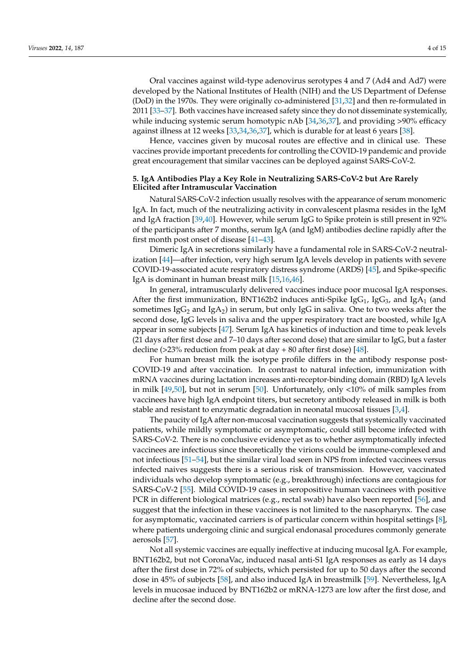Oral vaccines against wild-type adenovirus serotypes 4 and 7 (Ad4 and Ad7) were developed by the National Institutes of Health (NIH) and the US Department of Defense (DoD) in the 1970s. They were originally co-administered [\[31](#page-10-10)[,32\]](#page-10-11) and then re-formulated in 2011 [\[33](#page-10-12)[–37\]](#page-10-13). Both vaccines have increased safety since they do not disseminate systemically, while inducing systemic serum homotypic nAb [\[34,](#page-10-14)[36,](#page-10-15)[37\]](#page-10-13), and providing >90% efficacy against illness at 12 weeks [\[33](#page-10-12)[,34](#page-10-14)[,36,](#page-10-15)[37\]](#page-10-13), which is durable for at least 6 years [\[38\]](#page-10-16).

Hence, vaccines given by mucosal routes are effective and in clinical use. These vaccines provide important precedents for controlling the COVID-19 pandemic and provide great encouragement that similar vaccines can be deployed against SARS-CoV-2.

## **5. IgA Antibodies Play a Key Role in Neutralizing SARS-CoV-2 but Are Rarely Elicited after Intramuscular Vaccination**

Natural SARS-CoV-2 infection usually resolves with the appearance of serum monomeric IgA. In fact, much of the neutralizing activity in convalescent plasma resides in the IgM and IgA fraction [\[39,](#page-10-17)[40\]](#page-10-18). However, while serum IgG to Spike protein is still present in 92% of the participants after 7 months, serum IgA (and IgM) antibodies decline rapidly after the first month post onset of disease [\[41](#page-10-19)[–43\]](#page-10-20).

Dimeric IgA in secretions similarly have a fundamental role in SARS-CoV-2 neutralization [\[44\]](#page-10-21)—after infection, very high serum IgA levels develop in patients with severe COVID-19-associated acute respiratory distress syndrome (ARDS) [\[45\]](#page-10-22), and Spike-specific IgA is dominant in human breast milk [\[15,](#page-9-13)[16,](#page-9-14)[46\]](#page-11-0).

In general, intramuscularly delivered vaccines induce poor mucosal IgA responses. After the first immunization, BNT162b2 induces anti-Spike Ig $G_1$ , Ig $G_3$ , and Ig $A_1$  (and sometimes Ig $G_2$  and IgA<sub>2</sub>) in serum, but only IgG in saliva. One to two weeks after the second dose, IgG levels in saliva and the upper respiratory tract are boosted, while IgA appear in some subjects [\[47\]](#page-11-1). Serum IgA has kinetics of induction and time to peak levels (21 days after first dose and 7–10 days after second dose) that are similar to IgG, but a faster decline (>23% reduction from peak at day  $+80$  after first dose) [\[48\]](#page-11-2).

For human breast milk the isotype profile differs in the antibody response post-COVID-19 and after vaccination. In contrast to natural infection, immunization with mRNA vaccines during lactation increases anti-receptor-binding domain (RBD) IgA levels in milk [\[49,](#page-11-3)[50\]](#page-11-4), but not in serum [\[50\]](#page-11-4). Unfortunately, only <10% of milk samples from vaccinees have high IgA endpoint titers, but secretory antibody released in milk is both stable and resistant to enzymatic degradation in neonatal mucosal tissues [\[3,](#page-9-19)[4\]](#page-9-2).

The paucity of IgA after non-mucosal vaccination suggests that systemically vaccinated patients, while mildly symptomatic or asymptomatic, could still become infected with SARS-CoV-2. There is no conclusive evidence yet as to whether asymptomatically infected vaccinees are infectious since theoretically the virions could be immune-complexed and not infectious [\[51–](#page-11-5)[54\]](#page-11-6), but the similar viral load seen in NPS from infected vaccinees versus infected naives suggests there is a serious risk of transmission. However, vaccinated individuals who develop symptomatic (e.g., breakthrough) infections are contagious for SARS-CoV-2 [\[55\]](#page-11-7). Mild COVID-19 cases in seropositive human vaccinees with positive PCR in different biological matrices (e.g., rectal swab) have also been reported [\[56\]](#page-11-8), and suggest that the infection in these vaccinees is not limited to the nasopharynx. The case for asymptomatic, vaccinated carriers is of particular concern within hospital settings [\[8\]](#page-9-6), where patients undergoing clinic and surgical endonasal procedures commonly generate aerosols [\[57\]](#page-11-9).

Not all systemic vaccines are equally ineffective at inducing mucosal IgA. For example, BNT162b2, but not CoronaVac, induced nasal anti-S1 IgA responses as early as 14 days after the first dose in 72% of subjects, which persisted for up to 50 days after the second dose in 45% of subjects [\[58\]](#page-11-10), and also induced IgA in breastmilk [\[59\]](#page-11-11). Nevertheless, IgA levels in mucosae induced by BNT162b2 or mRNA-1273 are low after the first dose, and decline after the second dose.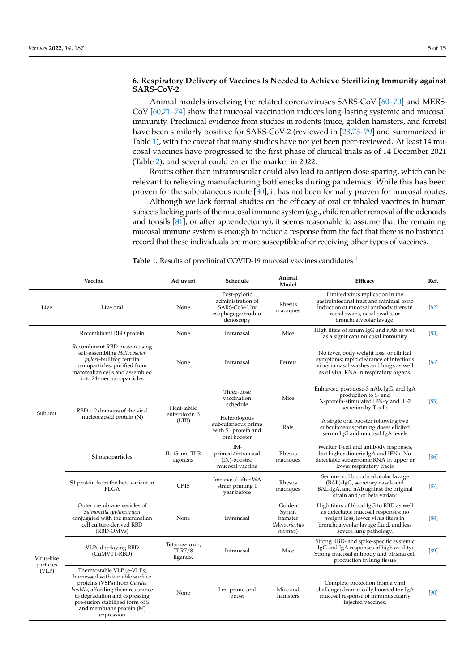# **6. Respiratory Delivery of Vaccines Is Needed to Achieve Sterilizing Immunity against SARS-CoV-2**

Animal models involving the related coronaviruses SARS-CoV [\[60](#page-11-12)[–70\]](#page-12-0) and MERS-CoV [\[60,](#page-11-12)[71](#page-12-1)[–74\]](#page-12-2) show that mucosal vaccination induces long-lasting systemic and mucosal immunity. Preclinical evidence from studies in rodents (mice, golden hamsters, and ferrets) have been similarly positive for SARS-CoV-2 (reviewed in [\[23,](#page-10-2)[75–](#page-12-3)[79\]](#page-12-4) and summarized in Table [1\)](#page-4-0), with the caveat that many studies have not yet been peer-reviewed. At least 14 mucosal vaccines have progressed to the first phase of clinical trials as of 14 December 2021 (Table [2\)](#page-5-0), and several could enter the market in 2022.

Routes other than intramuscular could also lead to antigen dose sparing, which can be relevant to relieving manufacturing bottlenecks during pandemics. While this has been proven for the subcutaneous route [\[80\]](#page-12-5), it has not been formally proven for mucosal routes.

Although we lack formal studies on the efficacy of oral or inhaled vaccines in human subjects lacking parts of the mucosal immune system (e.g., children after removal of the adenoids and tonsils [\[81\]](#page-12-6), or after appendectomy), it seems reasonable to assume that the remaining mucosal immune system is enough to induce a response from the fact that there is no historical record that these individuals are more susceptible after receiving other types of vaccines.

<span id="page-4-0"></span>Table 1. Results of preclinical COVID-19 mucosal vaccines candidates <sup>1</sup>.

| Vaccine                          |                                                                                                                                                                                                                                                  | Adjuvant                  | Animal<br>Schedule<br>Model                                                           |                                                                  | Efficacy                                                                                                                                                                                 | Ref.   |
|----------------------------------|--------------------------------------------------------------------------------------------------------------------------------------------------------------------------------------------------------------------------------------------------|---------------------------|---------------------------------------------------------------------------------------|------------------------------------------------------------------|------------------------------------------------------------------------------------------------------------------------------------------------------------------------------------------|--------|
| Live                             | Live oral                                                                                                                                                                                                                                        | None                      | Post-pyloric<br>administration of<br>SARS-CoV-2 by<br>esophagogastroduo-<br>denoscopy | Rhesus<br>macaques                                               | Limited virus replication in the<br>gastrointestinal tract and minimal to no<br>induction of mucosal antibody titers in<br>rectal swabs, nasal swabs, or<br>bronchoalveolar lavage.      | [82]   |
| Subunit                          | Recombinant RBD protein                                                                                                                                                                                                                          | None                      | Intranasal                                                                            | Mice                                                             | High titers of serum IgG and nAb as well<br>as a significant mucosal immunity                                                                                                            | $[83]$ |
|                                  | Recombinant RBD protein using<br>self-assembling Helicobacter<br><i>pylori-bullfrog ferritin</i><br>nanoparticles, purified from<br>mammalian cells and assembled<br>into 24-mer nanoparticles                                                   | None                      | Intranasal                                                                            | Ferrets                                                          | No fever, body weight loss, or clinical<br>symptoms; rapid clearance of infectious<br>virus in nasal washes and lungs as well<br>as of viral RNA in respiratory organs.                  | [84]   |
|                                  | $RBD + 2$ domains of the viral<br>nucleocapsid protein (N)                                                                                                                                                                                       | Heat-labile               | Three-dose<br>vaccination<br>schedule                                                 | Mice                                                             | Enhanced post-dose-3 nAb, IgG, and IgA<br>production to S- and<br>N-protein-stimulated IFN- $\gamma$ and IL-2<br>secretion by T cells                                                    | [85]   |
|                                  |                                                                                                                                                                                                                                                  | enterotoxin B<br>(LTB)    | Heterologous<br>subcutaneous prime<br>with S1 protein and<br>oral booster             | Rats                                                             | A single oral booster following two<br>subcutaneous priming doses elicited<br>serum IgG and mucosal IgA levels                                                                           |        |
|                                  | S1 nanoparticles                                                                                                                                                                                                                                 | IL-15 and TLR<br>agonists | IM-<br>primed/intranasal<br>(IN)-boosted<br>mucosal vaccine                           | Rhesus<br>macaques                                               | Weaker T-cell and antibody responses,<br>but higher dimeric IgA and IFNa. No<br>detectable subgenomic RNA in upper or<br>lower respiratory tracts                                        | [86]   |
|                                  | S1 protein from the beta variant in<br>PLGA                                                                                                                                                                                                      | CP15                      | Intranasal after WA<br>strain priming 1<br>year before                                | Rhesus<br>macaques                                               | Serum- and bronchoalveolar lavage<br>(BAL)-IgG, secretory nasal- and<br>BAL-IgA, and nAb against the original<br>strain and/or beta variant                                              | [87]   |
| Virus-like<br>particles<br>(VLP) | Outer membrane vesicles of<br>Salmonella typhimurium<br>conjugated with the mammalian<br>cell culture-derived RBD<br>(RBD-OMVs)                                                                                                                  | None                      | Intranasal                                                                            | Golden<br>Syrian<br>hamster<br>(Mesocricetus<br><i>auratus</i> ) | High titers of blood IgG to RBD as well<br>as detectable mucosal responses; no<br>weight loss, lower virus titers in<br>bronchoalveolar lavage fluid, and less<br>severe lung pathology. | [88]   |
|                                  | Tetanus-toxin;<br>VLPs displaying RBD<br><b>TLR7/8</b><br>(CuMVTT-RBD)<br>ligands.                                                                                                                                                               |                           | Intranasal                                                                            | Mice                                                             | Strong RBD- and spike-specific systemic<br>IgG and IgA responses of high avidity;<br>Strong mucosal antibody and plasma cell<br>production in lung tissue                                | [89]   |
|                                  | Thermostable VLP (e-VLPs)<br>harnessed with variable surface<br>proteins (VSPs) from Giardia<br>lamblia, affording them resistance<br>to degradation and expressing<br>pre-fusion stabilized form of S<br>and membrane protein (M)<br>expression | None                      | I.m. prime-oral<br>boost                                                              | Mice and<br>hamsters                                             | Complete protection from a viral<br>challenge; dramatically boosted the IgA<br>mucosal response of intramuscularly<br>injected vaccines.                                                 | [90]   |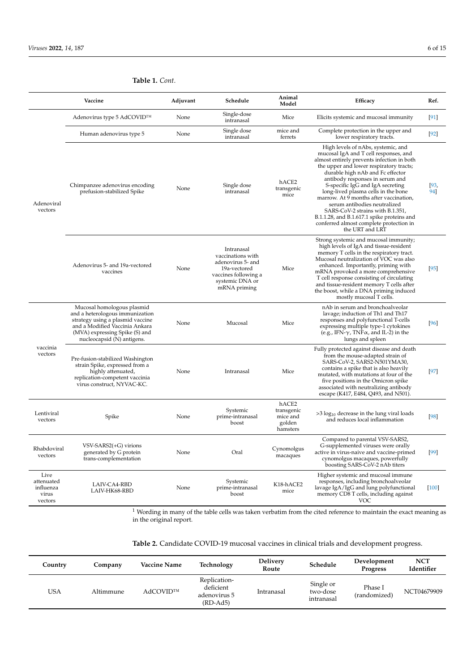|                                                     | Vaccine                                                                                                                                                                                             | Adjuvant | Schedule                                                                                                                        | Animal<br>Model                                       | Efficacy                                                                                                                                                                                                                                                                                                                                                                                                                                                                                                                                         | Ref.        |
|-----------------------------------------------------|-----------------------------------------------------------------------------------------------------------------------------------------------------------------------------------------------------|----------|---------------------------------------------------------------------------------------------------------------------------------|-------------------------------------------------------|--------------------------------------------------------------------------------------------------------------------------------------------------------------------------------------------------------------------------------------------------------------------------------------------------------------------------------------------------------------------------------------------------------------------------------------------------------------------------------------------------------------------------------------------------|-------------|
|                                                     | Adenovirus type 5 AdCOVID™                                                                                                                                                                          | None     | Single-dose<br>intranasal                                                                                                       | Mice                                                  | Elicits systemic and mucosal immunity                                                                                                                                                                                                                                                                                                                                                                                                                                                                                                            | $[91]$      |
| Adenoviral<br>vectors                               | Human adenovirus type 5                                                                                                                                                                             | None     | Single dose<br>intranasal                                                                                                       | mice and<br>ferrets                                   | Complete protection in the upper and<br>lower respiratory tracts.                                                                                                                                                                                                                                                                                                                                                                                                                                                                                | $[92]$      |
|                                                     | Chimpanzee adenovirus encoding<br>prefusion-stabilized Spike                                                                                                                                        | None     | Single dose<br>intranasal                                                                                                       | hACE2<br>transgenic<br>mice                           | High levels of nAbs, systemic, and<br>mucosal IgA and T cell responses, and<br>almost entirely prevents infection in both<br>the upper and lower respiratory tracts;<br>durable high nAb and Fc effector<br>antibody responses in serum and<br>S-specific IgG and IgA secreting<br>long-lived plasma cells in the bone<br>marrow. At 9 months after vaccination,<br>serum antibodies neutralized<br>SARS-CoV-2 strains with B.1.351,<br>B.1.1.28, and B.1.617.1 spike proteins and<br>conferred almost complete protection in<br>the URT and LRT | [93,<br>94] |
|                                                     | Adenovirus 5- and 19a-vectored<br>vaccines                                                                                                                                                          | None     | Intranasal<br>vaccinations with<br>adenovirus 5- and<br>19a-vectored<br>vaccines following a<br>systemic DNA or<br>mRNA priming | Mice                                                  | Strong systemic and mucosal immunity;<br>high levels of IgA and tissue-resident<br>memory T cells in the respiratory tract.<br>Mucosal neutralization of VOC was also<br>enhanced. Importantly, priming with<br>mRNA provoked a more comprehensive<br>T cell response consisting of circulating<br>and tissue-resident memory T cells after<br>the boost, while a DNA priming induced<br>mostly mucosal T cells.                                                                                                                                 | $[95]$      |
| vaccinia<br>vectors                                 | Mucosal homologous plasmid<br>and a heterologous immunization<br>strategy using a plasmid vaccine<br>and a Modified Vaccinia Ankara<br>(MVA) expressing Spike (S) and<br>nucleocapsid (N) antigens. | None     | Mucosal                                                                                                                         | Mice                                                  | nAb in serum and bronchoalveolar<br>lavage; induction of Th1 and Th17<br>responses and polyfunctional T-cells<br>expressing multiple type-1 cytokines<br>(e.g., IFN- $\gamma$ , TNF $\alpha$ , and IL-2) in the<br>lungs and spleen                                                                                                                                                                                                                                                                                                              | [96]        |
|                                                     | Pre-fusion-stabilized Washington<br>strain Spike, expressed from a<br>highly attenuated,<br>replication-competent vaccinia<br>virus construct, NYVAC-KC.                                            | None     | Intranasal                                                                                                                      | Mice                                                  | Fully protected against disease and death<br>from the mouse-adapted strain of<br>SARS-CoV-2, SARS2-N501YMA30,<br>contains a spike that is also heavily<br>mutated, with mutations at four of the<br>five positions in the Omicron spike<br>associated with neutralizing antibody<br>escape (K417, E484, Q493, and N501).                                                                                                                                                                                                                         | $[97]$      |
| Lentiviral<br>vectors                               | Spike                                                                                                                                                                                               | None     | Systemic<br>prime-intranasal<br>boost                                                                                           | hACE2<br>transgenic<br>mice and<br>golden<br>hamsters | $>3$ log <sub>10</sub> decrease in the lung viral loads<br>and reduces local inflammation                                                                                                                                                                                                                                                                                                                                                                                                                                                        | [98]        |
| Rhabdoviral<br>vectors                              | $VSV-SARS2(+G)$ virions<br>generated by G protein<br>trans-complementation                                                                                                                          | None     | Oral                                                                                                                            | Cynomolgus<br>macaques                                | Compared to parental VSV-SARS2,<br>G-supplemented viruses were orally<br>active in virus-naive and vaccine-primed<br>cynomolgus macaques, powerfully<br>boosting SARS-CoV-2 nAb titers                                                                                                                                                                                                                                                                                                                                                           | [99]        |
| Live<br>attenuated<br>influenza<br>virus<br>vectors | LAIV-CA4-RBD<br>LAIV-HK68-RBD                                                                                                                                                                       | None     | Systemic<br>prime-intranasal<br>boost                                                                                           | K18-hACE2<br>mice                                     | Higher systemic and mucosal immune<br>responses, including bronchoalveolar<br>lavage IgA/IgG and lung polyfunctional<br>memory CD8 T cells, including against<br><b>VOC</b>                                                                                                                                                                                                                                                                                                                                                                      | $[100]$     |

**Table 1.** *Cont.*

 $1$  Wording in many of the table cells was taken verbatim from the cited reference to maintain the exact meaning as in the original report.

<span id="page-5-0"></span>

| Country | Company   | <b>Vaccine Name</b> | Technology                                              | <b>Delivery</b><br>Route | Schedule                            | Development<br><b>Progress</b> | <b>NCT</b><br>Identifier |
|---------|-----------|---------------------|---------------------------------------------------------|--------------------------|-------------------------------------|--------------------------------|--------------------------|
| USA     | Altimmune | AdCOVID™            | Replication-<br>deficient<br>adenovirus 5<br>$(RD-Ad5)$ | Intranasal               | Single or<br>two-dose<br>intranasal | Phase I<br>(randomized)        | NCT04679909              |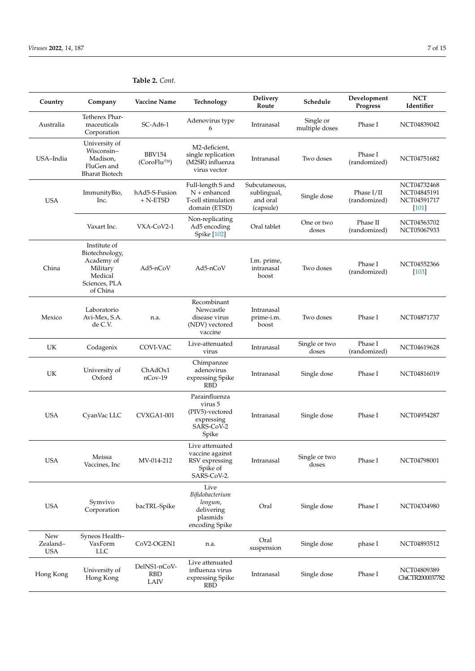| Country                       | Company                                                                                          | Vaccine Name                              | Technology                                                                       | Delivery<br>Route                                     | Schedule                    | Development<br>Progress      | <b>NCT</b><br>Identifier                             |
|-------------------------------|--------------------------------------------------------------------------------------------------|-------------------------------------------|----------------------------------------------------------------------------------|-------------------------------------------------------|-----------------------------|------------------------------|------------------------------------------------------|
| Australia                     | Tetherex Phar-<br>maceuticals<br>Corporation                                                     | $SC-Ad6-1$                                | Adenovirus type<br>6                                                             | Intranasal                                            | Single or<br>multiple doses | Phase I                      | NCT04839042                                          |
| USA-India                     | University of<br>Wisconsin-<br>Madison,<br>FluGen and<br><b>Bharat Biotech</b>                   | <b>BBV154</b><br>(CoroFlu <sup>TM</sup> ) | M2-deficient,<br>single replication<br>(M2SR) influenza<br>virus vector          | Intranasal                                            | Two doses                   | Phase I<br>(randomized)      | NCT04751682                                          |
| <b>USA</b>                    | ImmunityBio,<br>Inc.                                                                             | hAd5-S-Fusion<br>$+$ N-ETSD               | Full-length S and<br>$N +$ enhanced<br>T-cell stimulation<br>domain (ETSD)       | Subcutaneous,<br>sublingual,<br>and oral<br>(capsule) | Single dose                 | Phase $I/II$<br>(randomized) | NCT04732468<br>NCT04845191<br>NCT04591717<br>$[101]$ |
|                               | Vaxart Inc.                                                                                      | VXA-CoV2-1                                | Non-replicating<br>Ad5 encoding<br>Spike [102]                                   | Oral tablet                                           | One or two<br>doses         | Phase II<br>(randomized)     | NCT04563702<br>NCT05067933                           |
| China                         | Institute of<br>Biotechnology,<br>Academy of<br>Military<br>Medical<br>Sciences, PLA<br>of China | Ad5-nCoV                                  | Ad5-nCoV                                                                         | I.m. prime,<br>intranasal<br>boost                    | Two doses                   | Phase I<br>(randomized)      | NCT04552366<br>$[103]$                               |
| Mexico                        | Laboratorio<br>Avi-Mex, S.A.<br>de C.V.                                                          | n.a.                                      | Recombinant<br>Newcastle<br>disease virus<br>(NDV) vectored<br>vaccine           | Intranasal<br>prime-i.m.<br>boost                     | Two doses                   | Phase I                      | NCT04871737                                          |
| UK                            | Codagenix                                                                                        | COVI-VAC                                  | Live-attenuated<br>virus                                                         | Intranasal                                            | Single or two<br>doses      | Phase I<br>(randomized)      | NCT04619628                                          |
| UK                            | University of<br>Oxford                                                                          | ChAdOx1<br>$n$ Cov-19                     | Chimpanzee<br>adenovirus<br>expressing Spike<br><b>RBD</b>                       | Intranasal                                            | Single dose                 | Phase I                      | NCT04816019                                          |
| <b>USA</b>                    | CyanVac LLC                                                                                      | CVXGA1-001                                | Parainfluenza<br>virus 5<br>(PIV5)-vectored<br>expressing<br>SARS-CoV-2<br>Spike | Intranasal                                            | Single dose                 | Phase I                      | NCT04954287                                          |
| <b>USA</b>                    | Meissa<br>Vaccines, Inc                                                                          | MV-014-212                                | Live attenuated<br>vaccine against<br>RSV expressing<br>Spike of<br>SARS-CoV-2.  | Intranasal                                            | Single or two<br>doses      | Phase I                      | NCT04798001                                          |
| <b>USA</b>                    | Symvivo<br>Corporation                                                                           | bacTRL-Spike                              | Live<br>Bifidobacterium<br>longum,<br>delivering<br>plasmids<br>encoding Spike   | Oral                                                  | Single dose                 | Phase I                      | NCT04334980                                          |
| New<br>Zealand-<br><b>USA</b> | Syneos Health-<br>VaxForm<br><b>LLC</b>                                                          | CoV2-OGEN1                                | n.a.                                                                             | Oral<br>suspension                                    | Single dose                 | phase I                      | NCT04893512                                          |
| Hong Kong                     | University of<br>Hong Kong                                                                       | DelNS1-nCoV-<br><b>RBD</b><br>LAIV        | Live attenuated<br>influenza virus<br>expressing Spike<br>RBD                    | Intranasal                                            | Single dose                 | Phase I                      | NCT04809389<br>ChiCTR2000037782                      |

# **Table 2.** *Cont.*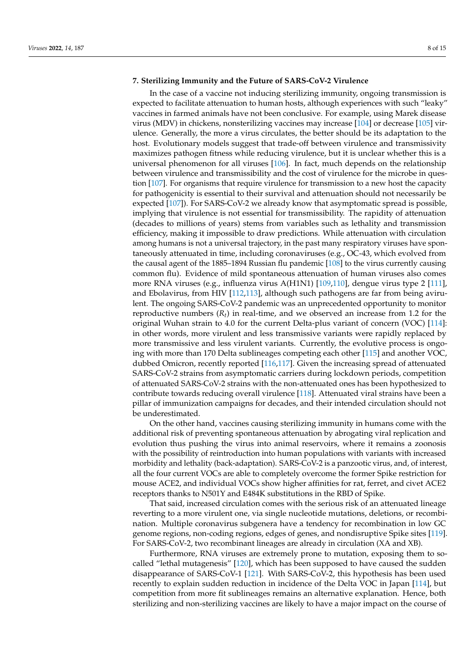## **7. Sterilizing Immunity and the Future of SARS-CoV-2 Virulence**

In the case of a vaccine not inducing sterilizing immunity, ongoing transmission is expected to facilitate attenuation to human hosts, although experiences with such "leaky" vaccines in farmed animals have not been conclusive. For example, using Marek disease virus (MDV) in chickens, nonsterilizing vaccines may increase [\[104\]](#page-13-13) or decrease [\[105\]](#page-13-14) virulence. Generally, the more a virus circulates, the better should be its adaptation to the host. Evolutionary models suggest that trade-off between virulence and transmissivity maximizes pathogen fitness while reducing virulence, but it is unclear whether this is a universal phenomenon for all viruses [\[106\]](#page-13-15). In fact, much depends on the relationship between virulence and transmissibility and the cost of virulence for the microbe in question [\[107\]](#page-13-16). For organisms that require virulence for transmission to a new host the capacity for pathogenicity is essential to their survival and attenuation should not necessarily be expected [\[107\]](#page-13-16)). For SARS-CoV-2 we already know that asymptomatic spread is possible, implying that virulence is not essential for transmissibility. The rapidity of attenuation (decades to millions of years) stems from variables such as lethality and transmission efficiency, making it impossible to draw predictions. While attenuation with circulation among humans is not a universal trajectory, in the past many respiratory viruses have spontaneously attenuated in time, including coronaviruses (e.g., OC-43, which evolved from the causal agent of the 1885–1894 Russian flu pandemic [\[108\]](#page-13-17) to the virus currently causing common flu). Evidence of mild spontaneous attenuation of human viruses also comes more RNA viruses (e.g., influenza virus A(H1N1) [\[109,](#page-13-18)[110\]](#page-13-19), dengue virus type 2 [\[111\]](#page-13-20), and Ebolavirus, from HIV [\[112,](#page-13-21)[113\]](#page-13-22), although such pathogens are far from being avirulent. The ongoing SARS-CoV-2 pandemic was an unprecedented opportunity to monitor reproductive numbers  $(R_t)$  in real-time, and we observed an increase from 1.2 for the original Wuhan strain to 4.0 for the current Delta-plus variant of concern (VOC) [\[114\]](#page-13-23): in other words, more virulent and less transmissive variants were rapidly replaced by more transmissive and less virulent variants. Currently, the evolutive process is ongoing with more than 170 Delta sublineages competing each other [\[115\]](#page-14-0) and another VOC, dubbed Omicron, recently reported [\[116](#page-14-1)[,117\]](#page-14-2). Given the increasing spread of attenuated SARS-CoV-2 strains from asymptomatic carriers during lockdown periods, competition of attenuated SARS-CoV-2 strains with the non-attenuated ones has been hypothesized to contribute towards reducing overall virulence [\[118\]](#page-14-3). Attenuated viral strains have been a pillar of immunization campaigns for decades, and their intended circulation should not be underestimated.

On the other hand, vaccines causing sterilizing immunity in humans come with the additional risk of preventing spontaneous attenuation by abrogating viral replication and evolution thus pushing the virus into animal reservoirs, where it remains a zoonosis with the possibility of reintroduction into human populations with variants with increased morbidity and lethality (back-adaptation). SARS-CoV-2 is a panzootic virus, and, of interest, all the four current VOCs are able to completely overcome the former Spike restriction for mouse ACE2, and individual VOCs show higher affinities for rat, ferret, and civet ACE2 receptors thanks to N501Y and E484K substitutions in the RBD of Spike.

That said, increased circulation comes with the serious risk of an attenuated lineage reverting to a more virulent one, via single nucleotide mutations, deletions, or recombination. Multiple coronavirus subgenera have a tendency for recombination in low GC genome regions, non-coding regions, edges of genes, and nondisruptive Spike sites [\[119\]](#page-14-4). For SARS-CoV-2, two recombinant lineages are already in circulation (XA and XB).

Furthermore, RNA viruses are extremely prone to mutation, exposing them to socalled "lethal mutagenesis" [\[120\]](#page-14-5), which has been supposed to have caused the sudden disappearance of SARS-CoV-1 [\[121\]](#page-14-6). With SARS-CoV-2, this hypothesis has been used recently to explain sudden reduction in incidence of the Delta VOC in Japan [\[114\]](#page-13-23), but competition from more fit sublineages remains an alternative explanation. Hence, both sterilizing and non-sterilizing vaccines are likely to have a major impact on the course of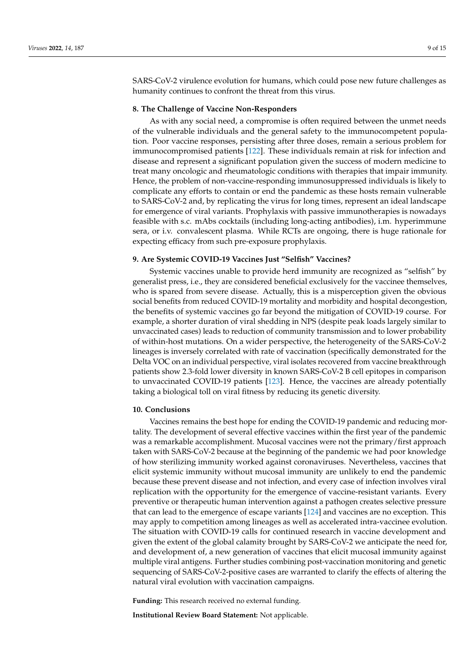SARS-CoV-2 virulence evolution for humans, which could pose new future challenges as humanity continues to confront the threat from this virus.

## **8. The Challenge of Vaccine Non-Responders**

As with any social need, a compromise is often required between the unmet needs of the vulnerable individuals and the general safety to the immunocompetent population. Poor vaccine responses, persisting after three doses, remain a serious problem for immunocompromised patients [\[122\]](#page-14-7). These individuals remain at risk for infection and disease and represent a significant population given the success of modern medicine to treat many oncologic and rheumatologic conditions with therapies that impair immunity. Hence, the problem of non-vaccine-responding immunosuppressed individuals is likely to complicate any efforts to contain or end the pandemic as these hosts remain vulnerable to SARS-CoV-2 and, by replicating the virus for long times, represent an ideal landscape for emergence of viral variants. Prophylaxis with passive immunotherapies is nowadays feasible with s.c. mAbs cocktails (including long-acting antibodies), i.m. hyperimmune sera, or i.v. convalescent plasma. While RCTs are ongoing, there is huge rationale for expecting efficacy from such pre-exposure prophylaxis.

## **9. Are Systemic COVID-19 Vaccines Just "Selfish" Vaccines?**

Systemic vaccines unable to provide herd immunity are recognized as "selfish" by generalist press, i.e., they are considered beneficial exclusively for the vaccinee themselves, who is spared from severe disease. Actually, this is a misperception given the obvious social benefits from reduced COVID-19 mortality and morbidity and hospital decongestion, the benefits of systemic vaccines go far beyond the mitigation of COVID-19 course. For example, a shorter duration of viral shedding in NPS (despite peak loads largely similar to unvaccinated cases) leads to reduction of community transmission and to lower probability of within-host mutations. On a wider perspective, the heterogeneity of the SARS-CoV-2 lineages is inversely correlated with rate of vaccination (specifically demonstrated for the Delta VOC on an individual perspective, viral isolates recovered from vaccine breakthrough patients show 2.3-fold lower diversity in known SARS-CoV-2 B cell epitopes in comparison to unvaccinated COVID-19 patients [\[123\]](#page-14-8). Hence, the vaccines are already potentially taking a biological toll on viral fitness by reducing its genetic diversity.

## **10. Conclusions**

Vaccines remains the best hope for ending the COVID-19 pandemic and reducing mortality. The development of several effective vaccines within the first year of the pandemic was a remarkable accomplishment. Mucosal vaccines were not the primary/first approach taken with SARS-CoV-2 because at the beginning of the pandemic we had poor knowledge of how sterilizing immunity worked against coronaviruses. Nevertheless, vaccines that elicit systemic immunity without mucosal immunity are unlikely to end the pandemic because these prevent disease and not infection, and every case of infection involves viral replication with the opportunity for the emergence of vaccine-resistant variants. Every preventive or therapeutic human intervention against a pathogen creates selective pressure that can lead to the emergence of escape variants [\[124\]](#page-14-9) and vaccines are no exception. This may apply to competition among lineages as well as accelerated intra-vaccinee evolution. The situation with COVID-19 calls for continued research in vaccine development and given the extent of the global calamity brought by SARS-CoV-2 we anticipate the need for, and development of, a new generation of vaccines that elicit mucosal immunity against multiple viral antigens. Further studies combining post-vaccination monitoring and genetic sequencing of SARS-CoV-2-positive cases are warranted to clarify the effects of altering the natural viral evolution with vaccination campaigns.

**Funding:** This research received no external funding.

**Institutional Review Board Statement:** Not applicable.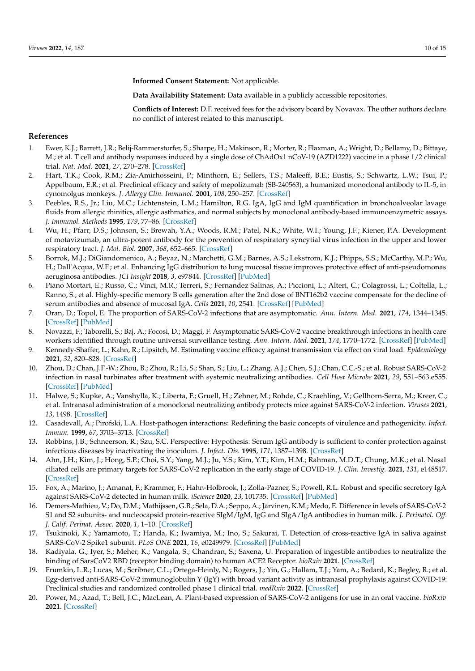**Informed Consent Statement:** Not applicable.

**Data Availability Statement:** Data available in a publicly accessible repositories.

**Conflicts of Interest:** D.F. received fees for the advisory board by Novavax. The other authors declare no conflict of interest related to this manuscript.

## **References**

- <span id="page-9-0"></span>1. Ewer, K.J.; Barrett, J.R.; Belij-Rammerstorfer, S.; Sharpe, H.; Makinson, R.; Morter, R.; Flaxman, A.; Wright, D.; Bellamy, D.; Bittaye, M.; et al. T cell and antibody responses induced by a single dose of ChAdOx1 nCoV-19 (AZD1222) vaccine in a phase 1/2 clinical trial. *Nat. Med.* **2021**, *27*, 270–278. [\[CrossRef\]](http://doi.org/10.1038/s41591-020-01194-5)
- <span id="page-9-1"></span>2. Hart, T.K.; Cook, R.M.; Zia-Amirhosseini, P.; Minthorn, E.; Sellers, T.S.; Maleeff, B.E.; Eustis, S.; Schwartz, L.W.; Tsui, P.; Appelbaum, E.R.; et al. Preclinical efficacy and safety of mepolizumab (SB-240563), a humanized monoclonal antibody to IL-5, in cynomolgus monkeys. *J. Allergy Clin. Immunol.* **2001**, *108*, 250–257. [\[CrossRef\]](http://doi.org/10.1067/mai.2001.116576)
- <span id="page-9-19"></span>3. Peebles, R.S., Jr.; Liu, M.C.; Lichtenstein, L.M.; Hamilton, R.G. IgA, IgG and IgM quantification in bronchoalveolar lavage fluids from allergic rhinitics, allergic asthmatics, and normal subjects by monoclonal antibody-based immunoenzymetric assays. *J. Immunol. Methods* **1995**, *179*, 77–86. [\[CrossRef\]](http://doi.org/10.1016/0022-1759(94)00275-2)
- <span id="page-9-2"></span>4. Wu, H.; Pfarr, D.S.; Johnson, S.; Brewah, Y.A.; Woods, R.M.; Patel, N.K.; White, W.I.; Young, J.F.; Kiener, P.A. Development of motavizumab, an ultra-potent antibody for the prevention of respiratory syncytial virus infection in the upper and lower respiratory tract. *J. Mol. Biol.* **2007**, *368*, 652–665. [\[CrossRef\]](http://doi.org/10.1016/j.jmb.2007.02.024)
- <span id="page-9-3"></span>5. Borrok, M.J.; DiGiandomenico, A.; Beyaz, N.; Marchetti, G.M.; Barnes, A.S.; Lekstrom, K.J.; Phipps, S.S.; McCarthy, M.P.; Wu, H.; Dall'Acqua, W.F.; et al. Enhancing IgG distribution to lung mucosal tissue improves protective effect of anti-pseudomonas aeruginosa antibodies. *JCI Insight* **2018**, *3*, e97844. [\[CrossRef\]](http://doi.org/10.1172/jci.insight.97844) [\[PubMed\]](http://www.ncbi.nlm.nih.gov/pubmed/29925682)
- <span id="page-9-4"></span>6. Piano Mortari, E.; Russo, C.; Vinci, M.R.; Terreri, S.; Fernandez Salinas, A.; Piccioni, L.; Alteri, C.; Colagrossi, L.; Coltella, L.; Ranno, S.; et al. Highly-specific memory B cells generation after the 2nd dose of BNT162b2 vaccine compensate for the decline of serum antibodies and absence of mucosal IgA. *Cells* **2021**, *10*, 2541. [\[CrossRef\]](http://doi.org/10.3390/cells10102541) [\[PubMed\]](http://www.ncbi.nlm.nih.gov/pubmed/34685521)
- <span id="page-9-5"></span>7. Oran, D.; Topol, E. The proportion of SARS-CoV-2 infections that are asymptomatic. *Ann. Intern. Med.* **2021**, *174*, 1344–1345. [\[CrossRef\]](http://doi.org/10.7326/L21-0491) [\[PubMed\]](http://www.ncbi.nlm.nih.gov/pubmed/34543599)
- <span id="page-9-6"></span>8. Novazzi, F.; Taborelli, S.; Baj, A.; Focosi, D.; Maggi, F. Asymptomatic SARS-CoV-2 vaccine breakthrough infections in health care workers identified through routine universal surveillance testing. *Ann. Intern. Med.* **2021**, *174*, 1770–1772. [\[CrossRef\]](http://doi.org/10.7326/M21-3486) [\[PubMed\]](http://www.ncbi.nlm.nih.gov/pubmed/34662153)
- <span id="page-9-7"></span>9. Kennedy-Shaffer, L.; Kahn, R.; Lipsitch, M. Estimating vaccine efficacy against transmission via effect on viral load. *Epidemiology* **2021**, *32*, 820–828. [\[CrossRef\]](http://doi.org/10.1097/EDE.0000000000001415)
- <span id="page-9-8"></span>10. Zhou, D.; Chan, J.F.-W.; Zhou, B.; Zhou, R.; Li, S.; Shan, S.; Liu, L.; Zhang, A.J.; Chen, S.J.; Chan, C.C.-S.; et al. Robust SARS-CoV-2 infection in nasal turbinates after treatment with systemic neutralizing antibodies. *Cell Host Microbe* **2021**, *29*, 551–563.e555. [\[CrossRef\]](http://doi.org/10.1016/j.chom.2021.02.019) [\[PubMed\]](http://www.ncbi.nlm.nih.gov/pubmed/33657424)
- <span id="page-9-9"></span>11. Halwe, S.; Kupke, A.; Vanshylla, K.; Liberta, F.; Gruell, H.; Zehner, M.; Rohde, C.; Kraehling, V.; Gellhorn-Serra, M.; Kreer, C.; et al. Intranasal administration of a monoclonal neutralizing antibody protects mice against SARS-CoV-2 infection. *Viruses* **2021**, *13*, 1498. [\[CrossRef\]](http://doi.org/10.3390/v13081498)
- <span id="page-9-10"></span>12. Casadevall, A.; Pirofski, L.A. Host-pathogen interactions: Redefining the basic concepts of virulence and pathogenicity. *Infect. Immun.* **1999**, *67*, 3703–3713. [\[CrossRef\]](http://doi.org/10.1128/IAI.67.8.3703-3713.1999)
- <span id="page-9-11"></span>13. Robbins, J.B.; Schneerson, R.; Szu, S.C. Perspective: Hypothesis: Serum IgG antibody is sufficient to confer protection against infectious diseases by inactivating the inoculum. *J. Infect. Dis.* **1995**, *171*, 1387–1398. [\[CrossRef\]](http://doi.org/10.1093/infdis/171.6.1387)
- <span id="page-9-12"></span>14. Ahn, J.H.; Kim, J.; Hong, S.P.; Choi, S.Y.; Yang, M.J.; Ju, Y.S.; Kim, Y.T.; Kim, H.M.; Rahman, M.D.T.; Chung, M.K.; et al. Nasal ciliated cells are primary targets for SARS-CoV-2 replication in the early stage of COVID-19. *J. Clin. Investig.* **2021**, *131*, e148517. [\[CrossRef\]](http://doi.org/10.1172/JCI148517)
- <span id="page-9-13"></span>15. Fox, A.; Marino, J.; Amanat, F.; Krammer, F.; Hahn-Holbrook, J.; Zolla-Pazner, S.; Powell, R.L. Robust and specific secretory IgA against SARS-CoV-2 detected in human milk. *iScience* **2020**, *23*, 101735. [\[CrossRef\]](http://doi.org/10.1016/j.isci.2020.101735) [\[PubMed\]](http://www.ncbi.nlm.nih.gov/pubmed/33134887)
- <span id="page-9-14"></span>16. Demers-Mathieu, V.; Do, D.M.; Mathijssen, G.B.; Sela, D.A.; Seppo, A.; Järvinen, K.M.; Medo, E. Difference in levels of SARS-CoV-2 S1 and S2 subunits- and nucleocapsid protein-reactive SIgM/IgM, IgG and SIgA/IgA antibodies in human milk. *J. Perinatol. Off. J. Calif. Perinat. Assoc.* **2020**, *1*, 1–10. [\[CrossRef\]](http://doi.org/10.1038/s41372-020-00805-w)
- <span id="page-9-15"></span>17. Tsukinoki, K.; Yamamoto, T.; Handa, K.; Iwamiya, M.; Ino, S.; Sakurai, T. Detection of cross-reactive IgA in saliva against SARS-CoV-2 Spike1 subunit. *PLoS ONE* **2021**, *16*, e0249979. [\[CrossRef\]](http://doi.org/10.1371/journal.pone.0249979) [\[PubMed\]](http://www.ncbi.nlm.nih.gov/pubmed/34813596)
- <span id="page-9-16"></span>18. Kadiyala, G.; Iyer, S.; Meher, K.; Vangala, S.; Chandran, S.; Saxena, U. Preparation of ingestible antibodies to neutralize the binding of SarsCoV2 RBD (receptor binding domain) to human ACE2 Receptor. *bioRxiv* **2021**. [\[CrossRef\]](http://doi.org/10.1101/2021.10.19.464951)
- <span id="page-9-17"></span>19. Frumkin, L.R.; Lucas, M.; Scribner, C.L.; Ortega-Heinly, N.; Rogers, J.; Yin, G.; Hallam, T.J.; Yam, A.; Bedard, K.; Begley, R.; et al. Egg-derived anti-SARS-CoV-2 immunoglobulin Y (IgY) with broad variant activity as intranasal prophylaxis against COVID-19: Preclinical studies and randomized controlled phase 1 clinical trial. *medRxiv* **2022**. [\[CrossRef\]](http://doi.org/10.1101/2022.01.07.22268914)
- <span id="page-9-18"></span>20. Power, M.; Azad, T.; Bell, J.C.; MacLean, A. Plant-based expression of SARS-CoV-2 antigens for use in an oral vaccine. *bioRxiv* **2021**. [\[CrossRef\]](http://doi.org/10.1101/2021.12.07.471131)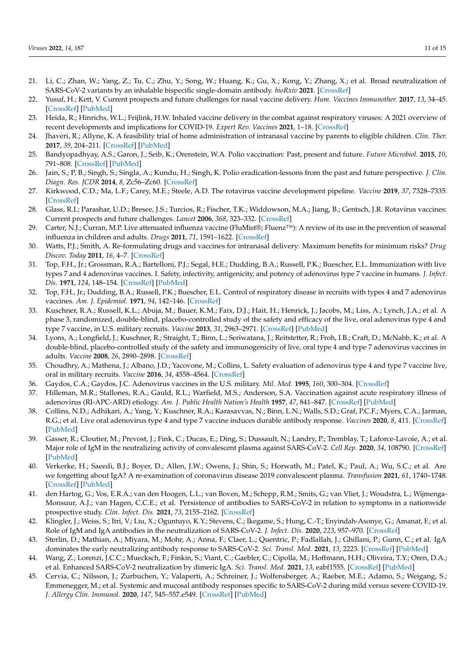- <span id="page-10-0"></span>21. Li, C.; Zhan, W.; Yang, Z.; Tu, C.; Zhu, Y.; Song, W.; Huang, K.; Gu, X.; Kong, Y.; Zhang, X.; et al. Broad neutralization of SARS-CoV-2 variants by an inhalable bispecific single-domain antibody. *bioRxiv* **2021**. [\[CrossRef\]](http://doi.org/10.1101/2021.12.30.474535)
- <span id="page-10-1"></span>22. Yusuf, H.; Kett, V. Current prospects and future challenges for nasal vaccine delivery. *Hum. Vaccines Immunother.* **2017**, *13*, 34–45. [\[CrossRef\]](http://doi.org/10.1080/21645515.2016.1239668) [\[PubMed\]](http://www.ncbi.nlm.nih.gov/pubmed/27936348)
- <span id="page-10-2"></span>23. Heida, R.; Hinrichs, W.L.; Frijlink, H.W. Inhaled vaccine delivery in the combat against respiratory viruses: A 2021 overview of recent developments and implications for COVID-19. *Expert Rev. Vaccines* **2021**, 1–18. [\[CrossRef\]](http://doi.org/10.1080/14760584.2021.1903878)
- <span id="page-10-3"></span>24. Jhaveri, R.; Allyne, K. A feasibility trial of home administration of intranasal vaccine by parents to eligible children. *Clin. Ther.* **2017**, *39*, 204–211. [\[CrossRef\]](http://doi.org/10.1016/j.clinthera.2016.11.018) [\[PubMed\]](http://www.ncbi.nlm.nih.gov/pubmed/27938896)
- <span id="page-10-4"></span>25. Bandyopadhyay, A.S.; Garon, J.; Seib, K.; Orenstein, W.A. Polio vaccination: Past, present and future. *Future Microbiol.* **2015**, *10*, 791–808. [\[CrossRef\]](http://doi.org/10.2217/fmb.15.19) [\[PubMed\]](http://www.ncbi.nlm.nih.gov/pubmed/25824845)
- <span id="page-10-5"></span>26. Jain, S.; P, B.; Singh, S.; Singla, A.; Kundu, H.; Singh, K. Polio eradication-lessons from the past and future perspective. *J. Clin. Diagn. Res. JCDR* **2014**, *8*, Zc56–Zc60. [\[CrossRef\]](http://doi.org/10.7860/JCDR/2014/8383.4621)
- <span id="page-10-6"></span>27. Kirkwood, C.D.; Ma, L.F.; Carey, M.E.; Steele, A.D. The rotavirus vaccine development pipeline. *Vaccine* **2019**, *37*, 7328–7335. [\[CrossRef\]](http://doi.org/10.1016/j.vaccine.2017.03.076)
- <span id="page-10-7"></span>28. Glass, R.I.; Parashar, U.D.; Bresee, J.S.; Turcios, R.; Fischer, T.K.; Widdowson, M.A.; Jiang, B.; Gentsch, J.R. Rotavirus vaccines: Current prospects and future challenges. *Lancet* **2006**, *368*, 323–332. [\[CrossRef\]](http://doi.org/10.1016/S0140-6736(06)68815-6)
- <span id="page-10-8"></span>29. Carter, N.J.; Curran, M.P. Live attenuated influenza vaccine (FluMist®; Fluenz™): A review of its use in the prevention of seasonal influenza in children and adults. *Drugs* **2011**, *71*, 1591–1622. [\[CrossRef\]](http://doi.org/10.2165/11206860-000000000-00000)
- <span id="page-10-9"></span>30. Watts, P.J.; Smith, A. Re-formulating drugs and vaccines for intranasal delivery: Maximum benefits for minimum risks? *Drug Discov. Today* **2011**, *16*, 4–7. [\[CrossRef\]](http://doi.org/10.1016/j.drudis.2010.11.001)
- <span id="page-10-10"></span>31. Top, F.H., Jr.; Grossman, R.A.; Bartelloni, P.J.; Segal, H.E.; Dudding, B.A.; Russell, P.K.; Buescher, E.L. Immunization with live types 7 and 4 adenovirus vaccines. I. Safety, infectivity, antigenicity, and potency of adenovirus type 7 vaccine in humans. *J. Infect. Dis.* **1971**, *124*, 148–154. [\[CrossRef\]](http://doi.org/10.1093/infdis/124.2.148) [\[PubMed\]](http://www.ncbi.nlm.nih.gov/pubmed/4330997)
- <span id="page-10-11"></span>32. Top, F.H., Jr.; Dudding, B.A.; Russell, P.K.; Buescher, E.L. Control of respiratory disease in recruits with types 4 and 7 adenovirus vaccines. *Am. J. Epidemiol.* **1971**, *94*, 142–146. [\[CrossRef\]](http://doi.org/10.1093/oxfordjournals.aje.a121306)
- <span id="page-10-12"></span>33. Kuschner, R.A.; Russell, K.L.; Abuja, M.; Bauer, K.M.; Faix, D.J.; Hait, H.; Henrick, J.; Jacobs, M.; Liss, A.; Lynch, J.A.; et al. A phase 3, randomized, double-blind, placebo-controlled study of the safety and efficacy of the live, oral adenovirus type 4 and type 7 vaccine, in U.S. military recruits. *Vaccine* **2013**, *31*, 2963–2971. [\[CrossRef\]](http://doi.org/10.1016/j.vaccine.2013.04.035) [\[PubMed\]](http://www.ncbi.nlm.nih.gov/pubmed/23623865)
- <span id="page-10-14"></span>34. Lyons, A.; Longfield, J.; Kuschner, R.; Straight, T.; Binn, L.; Seriwatana, J.; Reitstetter, R.; Froh, I.B.; Craft, D.; McNabb, K.; et al. A double-blind, placebo-controlled study of the safety and immunogenicity of live, oral type 4 and type 7 adenovirus vaccines in adults. *Vaccine* **2008**, *26*, 2890–2898. [\[CrossRef\]](http://doi.org/10.1016/j.vaccine.2008.03.037)
- 35. Choudhry, A.; Mathena, J.; Albano, J.D.; Yacovone, M.; Collins, L. Safety evaluation of adenovirus type 4 and type 7 vaccine live, oral in military recruits. *Vaccine* **2016**, *34*, 4558–4564. [\[CrossRef\]](http://doi.org/10.1016/j.vaccine.2016.07.033)
- <span id="page-10-15"></span>36. Gaydos, C.A.; Gaydos, J.C. Adenovirus vaccines in the U.S. military. *Mil. Med.* **1995**, *160*, 300–304. [\[CrossRef\]](http://doi.org/10.1093/milmed/160.6.300)
- <span id="page-10-13"></span>37. Hilleman, M.R.; Stallones, R.A.; Gauld, R.L.; Warfield, M.S.; Anderson, S.A. Vaccination against acute respiratory illness of adenovirus (RI-APC-ARD) etiology. *Am. J. Public Health Nation's Health* **1957**, *47*, 841–847. [\[CrossRef\]](http://doi.org/10.2105/AJPH.47.7.841) [\[PubMed\]](http://www.ncbi.nlm.nih.gov/pubmed/13435388)
- <span id="page-10-16"></span>38. Collins, N.D.; Adhikari, A.; Yang, Y.; Kuschner, R.A.; Karasavvas, N.; Binn, L.N.; Walls, S.D.; Graf, P.C.F.; Myers, C.A.; Jarman, R.G.; et al. Live oral adenovirus type 4 and type 7 vaccine induces durable antibody response. *Vaccines* **2020**, *8*, 411. [\[CrossRef\]](http://doi.org/10.3390/vaccines8030411) [\[PubMed\]](http://www.ncbi.nlm.nih.gov/pubmed/32718082)
- <span id="page-10-17"></span>39. Gasser, R.; Cloutier, M.; Prevost, J.; Fink, C.; Ducas, E.; Ding, S.; Dussault, N.; Landry, P.; Tremblay, T.; Laforce-Lavoie, A.; et al. Major role of IgM in the neutralizing activity of convalescent plasma against SARS-CoV-2. *Cell Rep.* **2020**, *34*, 108790. [\[CrossRef\]](http://doi.org/10.1016/j.celrep.2021.108790) [\[PubMed\]](http://www.ncbi.nlm.nih.gov/pubmed/33596407)
- <span id="page-10-18"></span>40. Verkerke, H.; Saeedi, B.J.; Boyer, D.; Allen, J.W.; Owens, J.; Shin, S.; Horwath, M.; Patel, K.; Paul, A.; Wu, S.C.; et al. Are we forgetting about IgA? A re-examination of coronavirus disease 2019 convalescent plasma. *Transfusion* **2021**, *61*, 1740–1748. [\[CrossRef\]](http://doi.org/10.1111/trf.16435) [\[PubMed\]](http://www.ncbi.nlm.nih.gov/pubmed/34041759)
- <span id="page-10-19"></span>41. den Hartog, G.; Vos, E.R.A.; van den Hoogen, L.L.; van Boven, M.; Schepp, R.M.; Smits, G.; van Vliet, J.; Woudstra, L.; Wijmenga-Monsuur, A.J.; van Hagen, C.C.E.; et al. Persistence of antibodies to SARS-CoV-2 in relation to symptoms in a nationwide prospective study. *Clin. Infect. Dis.* **2021**, *73*, 2155–2162. [\[CrossRef\]](http://doi.org/10.1093/cid/ciab172)
- 42. Klingler, J.; Weiss, S.; Itri, V.; Liu, X.; Oguntuyo, K.Y.; Stevens, C.; Ikegame, S.; Hung, C.-T.; Enyindah-Asonye, G.; Amanat, F.; et al. Role of IgM and IgA antibodies in the neutralization of SARS-CoV-2. *J. Infect. Dis.* **2020**, *223*, 957–970. [\[CrossRef\]](http://doi.org/10.1093/infdis/jiaa784)
- <span id="page-10-20"></span>43. Sterlin, D.; Mathian, A.; Miyara, M.; Mohr, A.; Anna, F.; Claer, L.; Quentric, P.; Fadlallah, J.; Ghillani, P.; Gunn, C.; et al. IgA dominates the early neutralizing antibody response to SARS-CoV-2. *Sci. Transl. Med.* **2021**, *13*, 2223. [\[CrossRef\]](http://doi.org/10.1126/scitranslmed.abd2223) [\[PubMed\]](http://www.ncbi.nlm.nih.gov/pubmed/33288662)
- <span id="page-10-21"></span>44. Wang, Z.; Lorenzi, J.C.C.; Muecksch, F.; Finkin, S.; Viant, C.; Gaebler, C.; Cipolla, M.; Hoffmann, H.H.; Oliveira, T.Y.; Oren, D.A.; et al. Enhanced SARS-CoV-2 neutralization by dimeric IgA. *Sci. Transl. Med.* **2021**, *13*, eabf1555. [\[CrossRef\]](http://doi.org/10.1126/scitranslmed.abf1555) [\[PubMed\]](http://www.ncbi.nlm.nih.gov/pubmed/33288661)
- <span id="page-10-22"></span>45. Cervia, C.; Nilsson, J.; Zurbuchen, Y.; Valaperti, A.; Schreiner, J.; Wolfensberger, A.; Raeber, M.E.; Adamo, S.; Weigang, S.; Emmenegger, M.; et al. Systemic and mucosal antibody responses specific to SARS-CoV-2 during mild versus severe COVID-19. *J. Allergy Clin. Immunol.* **2020**, *147*, 545–557.e549. [\[CrossRef\]](http://doi.org/10.1016/j.jaci.2020.10.040) [\[PubMed\]](http://www.ncbi.nlm.nih.gov/pubmed/33221383)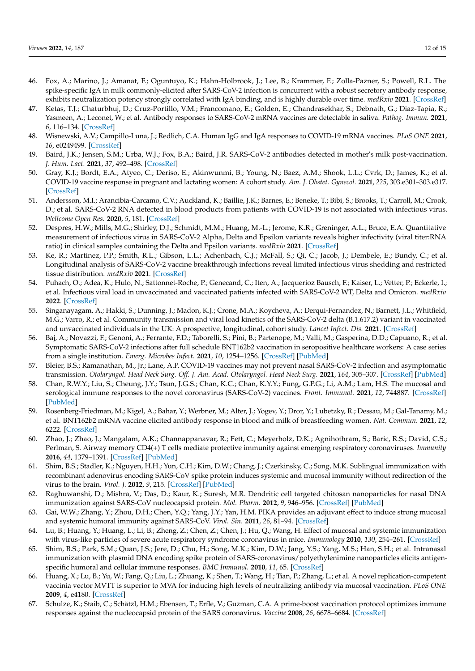- <span id="page-11-0"></span>46. Fox, A.; Marino, J.; Amanat, F.; Oguntuyo, K.; Hahn-Holbrook, J.; Lee, B.; Krammer, F.; Zolla-Pazner, S.; Powell, R.L. The spike-specific IgA in milk commonly-elicited after SARS-CoV-2 infection is concurrent with a robust secretory antibody response, exhibits neutralization potency strongly correlated with IgA binding, and is highly durable over time. *medRxiv* **2021**. [\[CrossRef\]](http://doi.org/10.1101/2021.03.16.21253731)
- <span id="page-11-1"></span>47. Ketas, T.J.; Chaturbhuj, D.; Cruz-Portillo, V.M.; Francomano, E.; Golden, E.; Chandrasekhar, S.; Debnath, G.; Diaz-Tapia, R.; Yasmeen, A.; Leconet, W.; et al. Antibody responses to SARS-CoV-2 mRNA vaccines are detectable in saliva. *Pathog. Immun.* **2021**, *6*, 116–134. [\[CrossRef\]](http://doi.org/10.20411/pai.v6i1.441)
- <span id="page-11-2"></span>48. Wisnewski, A.V.; Campillo-Luna, J.; Redlich, C.A. Human IgG and IgA responses to COVID-19 mRNA vaccines. *PLoS ONE* **2021**, *16*, e0249499. [\[CrossRef\]](http://doi.org/10.1371/journal.pone.0249499)
- <span id="page-11-3"></span>49. Baird, J.K.; Jensen, S.M.; Urba, W.J.; Fox, B.A.; Baird, J.R. SARS-CoV-2 antibodies detected in mother's milk post-vaccination. *J. Hum. Lact.* **2021**, *37*, 492–498. [\[CrossRef\]](http://doi.org/10.1177/08903344211030168)
- <span id="page-11-4"></span>50. Gray, K.J.; Bordt, E.A.; Atyeo, C.; Deriso, E.; Akinwunmi, B.; Young, N.; Baez, A.M.; Shook, L.L.; Cvrk, D.; James, K.; et al. COVID-19 vaccine response in pregnant and lactating women: A cohort study. *Am. J. Obstet. Gynecol.* **2021**, *225*, 303.e301–303.e317. [\[CrossRef\]](http://doi.org/10.1016/j.ajog.2021.03.023)
- <span id="page-11-5"></span>51. Andersson, M.I.; Arancibia-Carcamo, C.V.; Auckland, K.; Baillie, J.K.; Barnes, E.; Beneke, T.; Bibi, S.; Brooks, T.; Carroll, M.; Crook, D.; et al. SARS-CoV-2 RNA detected in blood products from patients with COVID-19 is not associated with infectious virus. *Wellcome Open Res.* **2020**, *5*, 181. [\[CrossRef\]](http://doi.org/10.12688/wellcomeopenres.16002.2)
- 52. Despres, H.W.; Mills, M.G.; Shirley, D.J.; Schmidt, M.M.; Huang, M.-L.; Jerome, K.R.; Greninger, A.L.; Bruce, E.A. Quantitative measurement of infectious virus in SARS-CoV-2 Alpha, Delta and Epsilon variants reveals higher infectivity (viral titer:RNA ratio) in clinical samples containing the Delta and Epsilon variants. *medRxiv* **2021**. [\[CrossRef\]](http://doi.org/10.1101/2021.09.07.21263229)
- 53. Ke, R.; Martinez, P.P.; Smith, R.L.; Gibson, L.L.; Achenbach, C.J.; McFall, S.; Qi, C.; Jacob, J.; Dembele, E.; Bundy, C.; et al. Longitudinal analysis of SARS-CoV-2 vaccine breakthrough infections reveal limited infectious virus shedding and restricted tissue distribution. *medRxiv* **2021**. [\[CrossRef\]](http://doi.org/10.1101/2021.08.30.21262701)
- <span id="page-11-6"></span>54. Puhach, O.; Adea, K.; Hulo, N.; Sattonnet-Roche, P.; Genecand, C.; Iten, A.; Jacquerioz Bausch, F.; Kaiser, L.; Vetter, P.; Eckerle, I.; et al. Infectious viral load in unvaccinated and vaccinated patients infected with SARS-CoV-2 WT, Delta and Omicron. *medRxiv* **2022**. [\[CrossRef\]](http://doi.org/10.1101/2022.01.10.22269010)
- <span id="page-11-7"></span>55. Singanayagam, A.; Hakki, S.; Dunning, J.; Madon, K.J.; Crone, M.A.; Koycheva, A.; Derqui-Fernandez, N.; Barnett, J.L.; Whitfield, M.G.; Varro, R.; et al. Community transmission and viral load kinetics of the SARS-CoV-2 delta (B.1.617.2) variant in vaccinated and unvaccinated individuals in the UK: A prospective, longitudinal, cohort study. *Lancet Infect. Dis.* **2021**. [\[CrossRef\]](http://doi.org/10.1016/S1473-3099(21)00648-4)
- <span id="page-11-8"></span>56. Baj, A.; Novazzi, F.; Genoni, A.; Ferrante, F.D.; Taborelli, S.; Pini, B.; Partenope, M.; Valli, M.; Gasperina, D.D.; Capuano, R.; et al. Symptomatic SARS-CoV-2 infections after full schedule BNT162b2 vaccination in seropositive healthcare workers: A case series from a single institution. *Emerg. Microbes Infect.* **2021**, *10*, 1254–1256. [\[CrossRef\]](http://doi.org/10.1080/22221751.2021.1942230) [\[PubMed\]](http://www.ncbi.nlm.nih.gov/pubmed/34110974)
- <span id="page-11-9"></span>57. Bleier, B.S.; Ramanathan, M., Jr.; Lane, A.P. COVID-19 vaccines may not prevent nasal SARS-CoV-2 infection and asymptomatic transmission. *Otolaryngol. Head Neck Surg. Off. J. Am. Acad. Otolaryngol. Head Neck Surg.* **2021**, *164*, 305–307. [\[CrossRef\]](http://doi.org/10.1177/0194599820982633) [\[PubMed\]](http://www.ncbi.nlm.nih.gov/pubmed/33320052)
- <span id="page-11-10"></span>58. Chan, R.W.Y.; Liu, S.; Cheung, J.Y.; Tsun, J.G.S.; Chan, K.C.; Chan, K.Y.Y.; Fung, G.P.G.; Li, A.M.; Lam, H.S. The mucosal and serological immune responses to the novel coronavirus (SARS-CoV-2) vaccines. *Front. Immunol.* **2021**, *12*, 744887. [\[CrossRef\]](http://doi.org/10.3389/fimmu.2021.744887) [\[PubMed\]](http://www.ncbi.nlm.nih.gov/pubmed/34712232)
- <span id="page-11-11"></span>59. Rosenberg-Friedman, M.; Kigel, A.; Bahar, Y.; Werbner, M.; Alter, J.; Yogev, Y.; Dror, Y.; Lubetzky, R.; Dessau, M.; Gal-Tanamy, M.; et al. BNT162b2 mRNA vaccine elicited antibody response in blood and milk of breastfeeding women. *Nat. Commun.* **2021**, *12*, 6222. [\[CrossRef\]](http://doi.org/10.1038/s41467-021-26507-1)
- <span id="page-11-12"></span>60. Zhao, J.; Zhao, J.; Mangalam, A.K.; Channappanavar, R.; Fett, C.; Meyerholz, D.K.; Agnihothram, S.; Baric, R.S.; David, C.S.; Perlman, S. Airway memory CD4(+) T cells mediate protective immunity against emerging respiratory coronaviruses. *Immunity* **2016**, *44*, 1379–1391. [\[CrossRef\]](http://doi.org/10.1016/j.immuni.2016.05.006) [\[PubMed\]](http://www.ncbi.nlm.nih.gov/pubmed/27287409)
- 61. Shim, B.S.; Stadler, K.; Nguyen, H.H.; Yun, C.H.; Kim, D.W.; Chang, J.; Czerkinsky, C.; Song, M.K. Sublingual immunization with recombinant adenovirus encoding SARS-CoV spike protein induces systemic and mucosal immunity without redirection of the virus to the brain. *Virol. J.* **2012**, *9*, 215. [\[CrossRef\]](http://doi.org/10.1186/1743-422X-9-215) [\[PubMed\]](http://www.ncbi.nlm.nih.gov/pubmed/22995185)
- 62. Raghuwanshi, D.; Mishra, V.; Das, D.; Kaur, K.; Suresh, M.R. Dendritic cell targeted chitosan nanoparticles for nasal DNA immunization against SARS-CoV nucleocapsid protein. *Mol. Pharm.* **2012**, *9*, 946–956. [\[CrossRef\]](http://doi.org/10.1021/mp200553x) [\[PubMed\]](http://www.ncbi.nlm.nih.gov/pubmed/22356166)
- 63. Gai, W.W.; Zhang, Y.; Zhou, D.H.; Chen, Y.Q.; Yang, J.Y.; Yan, H.M. PIKA provides an adjuvant effect to induce strong mucosal and systemic humoral immunity against SARS-CoV. *Virol. Sin.* **2011**, *26*, 81–94. [\[CrossRef\]](http://doi.org/10.1007/s12250-011-3183-z)
- 64. Lu, B.; Huang, Y.; Huang, L.; Li, B.; Zheng, Z.; Chen, Z.; Chen, J.; Hu, Q.; Wang, H. Effect of mucosal and systemic immunization with virus-like particles of severe acute respiratory syndrome coronavirus in mice. *Immunology* **2010**, *130*, 254–261. [\[CrossRef\]](http://doi.org/10.1111/j.1365-2567.2010.03231.x)
- 65. Shim, B.S.; Park, S.M.; Quan, J.S.; Jere, D.; Chu, H.; Song, M.K.; Kim, D.W.; Jang, Y.S.; Yang, M.S.; Han, S.H.; et al. Intranasal immunization with plasmid DNA encoding spike protein of SARS-coronavirus/polyethylenimine nanoparticles elicits antigenspecific humoral and cellular immune responses. *BMC Immunol.* **2010**, *11*, 65. [\[CrossRef\]](http://doi.org/10.1186/1471-2172-11-65)
- 66. Huang, X.; Lu, B.; Yu, W.; Fang, Q.; Liu, L.; Zhuang, K.; Shen, T.; Wang, H.; Tian, P.; Zhang, L.; et al. A novel replication-competent vaccinia vector MVTT is superior to MVA for inducing high levels of neutralizing antibody via mucosal vaccination. *PLoS ONE* **2009**, *4*, e4180. [\[CrossRef\]](http://doi.org/10.1371/journal.pone.0004180)
- 67. Schulze, K.; Staib, C.; Schätzl, H.M.; Ebensen, T.; Erfle, V.; Guzman, C.A. A prime-boost vaccination protocol optimizes immune responses against the nucleocapsid protein of the SARS coronavirus. *Vaccine* **2008**, *26*, 6678–6684. [\[CrossRef\]](http://doi.org/10.1016/j.vaccine.2008.09.006)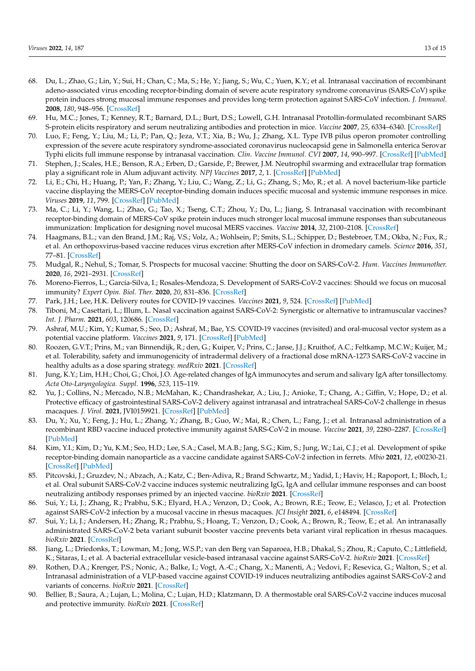- 68. Du, L.; Zhao, G.; Lin, Y.; Sui, H.; Chan, C.; Ma, S.; He, Y.; Jiang, S.; Wu, C.; Yuen, K.Y.; et al. Intranasal vaccination of recombinant adeno-associated virus encoding receptor-binding domain of severe acute respiratory syndrome coronavirus (SARS-CoV) spike protein induces strong mucosal immune responses and provides long-term protection against SARS-CoV infection. *J. Immunol.* **2008**, *180*, 948–956. [\[CrossRef\]](http://doi.org/10.4049/jimmunol.180.2.948)
- 69. Hu, M.C.; Jones, T.; Kenney, R.T.; Barnard, D.L.; Burt, D.S.; Lowell, G.H. Intranasal Protollin-formulated recombinant SARS S-protein elicits respiratory and serum neutralizing antibodies and protection in mice. *Vaccine* **2007**, *25*, 6334–6340. [\[CrossRef\]](http://doi.org/10.1016/j.vaccine.2007.06.017)
- <span id="page-12-0"></span>70. Luo, F.; Feng, Y.; Liu, M.; Li, P.; Pan, Q.; Jeza, V.T.; Xia, B.; Wu, J.; Zhang, X.L. Type IVB pilus operon promoter controlling expression of the severe acute respiratory syndrome-associated coronavirus nucleocapsid gene in Salmonella enterica Serovar Typhi elicits full immune response by intranasal vaccination. *Clin. Vaccine Immunol. CVI* **2007**, *14*, 990–997. [\[CrossRef\]](http://doi.org/10.1128/CVI.00076-07) [\[PubMed\]](http://www.ncbi.nlm.nih.gov/pubmed/17596427)
- <span id="page-12-1"></span>71. Stephen, J.; Scales, H.E.; Benson, R.A.; Erben, D.; Garside, P.; Brewer, J.M. Neutrophil swarming and extracellular trap formation play a significant role in Alum adjuvant activity. *NPJ Vaccines* **2017**, *2*, 1. [\[CrossRef\]](http://doi.org/10.1038/s41541-016-0001-5) [\[PubMed\]](http://www.ncbi.nlm.nih.gov/pubmed/29263862)
- 72. Li, E.; Chi, H.; Huang, P.; Yan, F.; Zhang, Y.; Liu, C.; Wang, Z.; Li, G.; Zhang, S.; Mo, R.; et al. A novel bacterium-like particle vaccine displaying the MERS-CoV receptor-binding domain induces specific mucosal and systemic immune responses in mice. *Viruses* **2019**, *11*, 799. [\[CrossRef\]](http://doi.org/10.3390/v11090799) [\[PubMed\]](http://www.ncbi.nlm.nih.gov/pubmed/31470645)
- 73. Ma, C.; Li, Y.; Wang, L.; Zhao, G.; Tao, X.; Tseng, C.T.; Zhou, Y.; Du, L.; Jiang, S. Intranasal vaccination with recombinant receptor-binding domain of MERS-CoV spike protein induces much stronger local mucosal immune responses than subcutaneous immunization: Implication for designing novel mucosal MERS vaccines. *Vaccine* **2014**, *32*, 2100–2108. [\[CrossRef\]](http://doi.org/10.1016/j.vaccine.2014.02.004)
- <span id="page-12-2"></span>74. Haagmans, B.L.; van den Brand, J.M.; Raj, V.S.; Volz, A.; Wohlsein, P.; Smits, S.L.; Schipper, D.; Bestebroer, T.M.; Okba, N.; Fux, R.; et al. An orthopoxvirus-based vaccine reduces virus excretion after MERS-CoV infection in dromedary camels. *Science* **2016**, *351*, 77–81. [\[CrossRef\]](http://doi.org/10.1126/science.aad1283)
- <span id="page-12-3"></span>75. Mudgal, R.; Nehul, S.; Tomar, S. Prospects for mucosal vaccine: Shutting the door on SARS-CoV-2. *Hum. Vaccines Immunother.* **2020**, *16*, 2921–2931. [\[CrossRef\]](http://doi.org/10.1080/21645515.2020.1805992)
- 76. Moreno-Fierros, L.; García-Silva, I.; Rosales-Mendoza, S. Development of SARS-CoV-2 vaccines: Should we focus on mucosal immunity? *Expert Opin. Biol. Ther.* **2020**, *20*, 831–836. [\[CrossRef\]](http://doi.org/10.1080/14712598.2020.1767062)
- 77. Park, J.H.; Lee, H.K. Delivery routes for COVID-19 vaccines. *Vaccines* **2021**, *9*, 524. [\[CrossRef\]](http://doi.org/10.3390/vaccines9050524) [\[PubMed\]](http://www.ncbi.nlm.nih.gov/pubmed/34069359)
- 78. Tiboni, M.; Casettari, L.; Illum, L. Nasal vaccination against SARS-CoV-2: Synergistic or alternative to intramuscular vaccines? *Int. J. Pharm.* **2021**, *603*, 120686. [\[CrossRef\]](http://doi.org/10.1016/j.ijpharm.2021.120686)
- <span id="page-12-4"></span>79. Ashraf, M.U.; Kim, Y.; Kumar, S.; Seo, D.; Ashraf, M.; Bae, Y.S. COVID-19 vaccines (revisited) and oral-mucosal vector system as a potential vaccine platform. *Vaccines* **2021**, *9*, 171. [\[CrossRef\]](http://doi.org/10.3390/vaccines9020171) [\[PubMed\]](http://www.ncbi.nlm.nih.gov/pubmed/33670630)
- <span id="page-12-5"></span>80. Roozen, G.V.T.; Prins, M.; van Binnendijk, R.; den, G.; Kuiper, V.; Prins, C.; Janse, J.J.; Kruithof, A.C.; Feltkamp, M.C.W.; Kuijer, M.; et al. Tolerability, safety and immunogenicity of intradermal delivery of a fractional dose mRNA-1273 SARS-CoV-2 vaccine in healthy adults as a dose sparing strategy. *medRxiv* **2021**. [\[CrossRef\]](http://doi.org/10.2139/ssrn.3892129)
- <span id="page-12-6"></span>81. Jung, K.Y.; Lim, H.H.; Choi, G.; Choi, J.O. Age-related changes of IgA immunocytes and serum and salivary IgA after tonsillectomy. *Acta Oto-Laryngologica. Suppl.* **1996**, *523*, 115–119.
- <span id="page-12-7"></span>82. Yu, J.; Collins, N.; Mercado, N.B.; McMahan, K.; Chandrashekar, A.; Liu, J.; Anioke, T.; Chang, A.; Giffin, V.; Hope, D.; et al. Protective efficacy of gastrointestinal SARS-CoV-2 delivery against intranasal and intratracheal SARS-CoV-2 challenge in rhesus macaques. *J. Virol.* **2021**, JVI0159921. [\[CrossRef\]](http://doi.org/10.1128/JVI.01599-21) [\[PubMed\]](http://www.ncbi.nlm.nih.gov/pubmed/34705557)
- <span id="page-12-8"></span>83. Du, Y.; Xu, Y.; Feng, J.; Hu, L.; Zhang, Y.; Zhang, B.; Guo, W.; Mai, R.; Chen, L.; Fang, J.; et al. Intranasal administration of a recombinant RBD vaccine induced protective immunity against SARS-CoV-2 in mouse. *Vaccine* **2021**, *39*, 2280–2287. [\[CrossRef\]](http://doi.org/10.1016/j.vaccine.2021.03.006) [\[PubMed\]](http://www.ncbi.nlm.nih.gov/pubmed/33731271)
- <span id="page-12-9"></span>84. Kim, Y.I.; Kim, D.; Yu, K.M.; Seo, H.D.; Lee, S.A.; Casel, M.A.B.; Jang, S.G.; Kim, S.; Jung, W.; Lai, C.J.; et al. Development of spike receptor-binding domain nanoparticle as a vaccine candidate against SARS-CoV-2 infection in ferrets. *Mbio* **2021**, *12*, e00230-21. [\[CrossRef\]](http://doi.org/10.1128/mBio.00230-21) [\[PubMed\]](http://www.ncbi.nlm.nih.gov/pubmed/33653891)
- <span id="page-12-10"></span>85. Pitcovski, J.; Gruzdev, N.; Abzach, A.; Katz, C.; Ben-Adiva, R.; Brand Schwartz, M.; Yadid, I.; Haviv, H.; Rapoport, I.; Bloch, I.; et al. Oral subunit SARS-CoV-2 vaccine induces systemic neutralizing IgG, IgA and cellular immune responses and can boost neutralizing antibody responses primed by an injected vaccine. *bioRxiv* **2021**. [\[CrossRef\]](http://doi.org/10.1101/2021.06.09.447656)
- <span id="page-12-11"></span>86. Sui, Y.; Li, J.; Zhang, R.; Prabhu, S.K.; Elyard, H.A.; Venzon, D.; Cook, A.; Brown, R.E.; Teow, E.; Velasco, J.; et al. Protection against SARS-CoV-2 infection by a mucosal vaccine in rhesus macaques. *JCI Insight* **2021**, *6*, e148494. [\[CrossRef\]](http://doi.org/10.1172/jci.insight.148494)
- <span id="page-12-12"></span>87. Sui, Y.; Li, J.; Andersen, H.; Zhang, R.; Prabhu, S.; Hoang, T.; Venzon, D.; Cook, A.; Brown, R.; Teow, E.; et al. An intranasally administrated SARS-CoV-2 beta variant subunit booster vaccine prevents beta variant viral replication in rhesus macaques. *bioRxiv* **2021**. [\[CrossRef\]](http://doi.org/10.1101/2021.10.19.464990)
- <span id="page-12-13"></span>88. Jiang, L.; Driedonks, T.; Lowman, M.; Jong, W.S.P.; van den Berg van Saparoea, H.B.; Dhakal, S.; Zhou, R.; Caputo, C.; Littlefield, K.; Sitaras, I.; et al. A bacterial extracellular vesicle-based intranasal vaccine against SARS-CoV-2. *bioRxiv* **2021**. [\[CrossRef\]](http://doi.org/10.1101/2021.06.28.450181)
- <span id="page-12-14"></span>89. Rothen, D.A.; Krenger, P.S.; Nonic, A.; Balke, I.; Vogt, A.-C.; Chang, X.; Manenti, A.; Vedovi, F.; Resevica, G.; Walton, S.; et al. Intranasal administration of a VLP-based vaccine against COVID-19 induces neutralizing antibodies against SARS-CoV-2 and variants of concerns. *bioRxiv* **2021**. [\[CrossRef\]](http://doi.org/10.1101/2021.09.10.459749)
- <span id="page-12-15"></span>90. Bellier, B.; Saura, A.; Lujan, L.; Molina, C.; Lujan, H.D.; Klatzmann, D. A thermostable oral SARS-CoV-2 vaccine induces mucosal and protective immunity. *bioRxiv* **2021**. [\[CrossRef\]](http://doi.org/10.1101/2021.09.09.459634)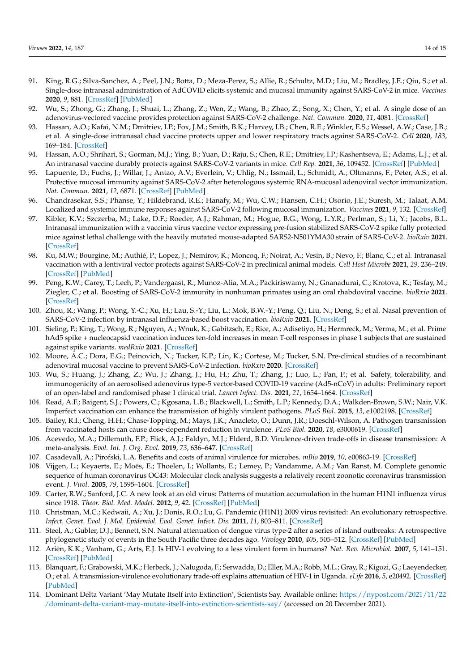- <span id="page-13-0"></span>91. King, R.G.; Silva-Sanchez, A.; Peel, J.N.; Botta, D.; Meza-Perez, S.; Allie, R.; Schultz, M.D.; Liu, M.; Bradley, J.E.; Qiu, S.; et al. Single-dose intranasal administration of AdCOVID elicits systemic and mucosal immunity against SARS-CoV-2 in mice. *Vaccines* **2020**, *9*, 881. [\[CrossRef\]](http://doi.org/10.3390/vaccines9080881) [\[PubMed\]](http://www.ncbi.nlm.nih.gov/pubmed/34452006)
- <span id="page-13-1"></span>92. Wu, S.; Zhong, G.; Zhang, J.; Shuai, L.; Zhang, Z.; Wen, Z.; Wang, B.; Zhao, Z.; Song, X.; Chen, Y.; et al. A single dose of an adenovirus-vectored vaccine provides protection against SARS-CoV-2 challenge. *Nat. Commun.* **2020**, *11*, 4081. [\[CrossRef\]](http://doi.org/10.1038/s41467-020-17972-1)
- <span id="page-13-2"></span>93. Hassan, A.O.; Kafai, N.M.; Dmitriev, I.P.; Fox, J.M.; Smith, B.K.; Harvey, I.B.; Chen, R.E.; Winkler, E.S.; Wessel, A.W.; Case, J.B.; et al. A single-dose intranasal chad vaccine protects upper and lower respiratory tracts against SARS-CoV-2. *Cell* **2020**, *183*, 169–184. [\[CrossRef\]](http://doi.org/10.1016/j.cell.2020.08.026)
- <span id="page-13-3"></span>94. Hassan, A.O.; Shrihari, S.; Gorman, M.J.; Ying, B.; Yuan, D.; Raju, S.; Chen, R.E.; Dmitriev, I.P.; Kashentseva, E.; Adams, L.J.; et al. An intranasal vaccine durably protects against SARS-CoV-2 variants in mice. *Cell Rep.* **2021**, *36*, 109452. [\[CrossRef\]](http://doi.org/10.1016/j.celrep.2021.109452) [\[PubMed\]](http://www.ncbi.nlm.nih.gov/pubmed/34289385)
- <span id="page-13-4"></span>95. Lapuente, D.; Fuchs, J.; Willar, J.; Antao, A.V.; Everlein, V.; Uhlig, N.; Issmail, L.; Schmidt, A.; Oltmanns, F.; Peter, A.S.; et al. Protective mucosal immunity against SARS-CoV-2 after heterologous systemic RNA-mucosal adenoviral vector immunization. *Nat. Commun.* **2021**, *12*, 6871. [\[CrossRef\]](http://doi.org/10.1038/s41467-021-27063-4) [\[PubMed\]](http://www.ncbi.nlm.nih.gov/pubmed/34836955)
- <span id="page-13-5"></span>96. Chandrasekar, S.S.; Phanse, Y.; Hildebrand, R.E.; Hanafy, M.; Wu, C.W.; Hansen, C.H.; Osorio, J.E.; Suresh, M.; Talaat, A.M. Localized and systemic immune responses against SARS-CoV-2 following mucosal immunization. *Vaccines* **2021**, *9*, 132. [\[CrossRef\]](http://doi.org/10.3390/vaccines9020132)
- <span id="page-13-6"></span>97. Kibler, K.V.; Szczerba, M.; Lake, D.F.; Roeder, A.J.; Rahman, M.; Hogue, B.G.; Wong, L.Y.R.; Perlman, S.; Li, Y.; Jacobs, B.L. Intranasal immunization with a vaccinia virus vaccine vector expressing pre-fusion stabilized SARS-CoV-2 spike fully protected mice against lethal challenge with the heavily mutated mouse-adapted SARS2-N501YMA30 strain of SARS-CoV-2. *bioRxiv* **2021**. [\[CrossRef\]](http://doi.org/10.1101/2021.12.06.471483)
- <span id="page-13-7"></span>98. Ku, M.W.; Bourgine, M.; Authié, P.; Lopez, J.; Nemirov, K.; Moncoq, F.; Noirat, A.; Vesin, B.; Nevo, F.; Blanc, C.; et al. Intranasal vaccination with a lentiviral vector protects against SARS-CoV-2 in preclinical animal models. *Cell Host Microbe* **2021**, *29*, 236–249. [\[CrossRef\]](http://doi.org/10.1016/j.chom.2020.12.010) [\[PubMed\]](http://www.ncbi.nlm.nih.gov/pubmed/33357418)
- <span id="page-13-8"></span>99. Peng, K.W.; Carey, T.; Lech, P.; Vandergaast, R.; Munoz-Alia, M.A.; Packiriswamy, N.; Gnanadurai, C.; Krotova, K.; Tesfay, M.; Ziegler, C.; et al. Boosting of SARS-CoV-2 immunity in nonhuman primates using an oral rhabdoviral vaccine. *bioRxiv* **2021**. [\[CrossRef\]](http://doi.org/10.1016/j.vaccine.2021.12.063)
- <span id="page-13-9"></span>100. Zhou, R.; Wang, P.; Wong, Y.-C.; Xu, H.; Lau, S.-Y.; Liu, L.; Mok, B.W.-Y.; Peng, Q.; Liu, N.; Deng, S.; et al. Nasal prevention of SARS-CoV-2 infection by intranasal influenza-based boost vaccination. *bioRxiv* **2021**. [\[CrossRef\]](http://doi.org/10.1101/2021.10.21.465252)
- <span id="page-13-10"></span>101. Sieling, P.; King, T.; Wong, R.; Nguyen, A.; Wnuk, K.; Gabitzsch, E.; Rice, A.; Adisetiyo, H.; Hermreck, M.; Verma, M.; et al. Prime hAd5 spike + nucleocapsid vaccination induces ten-fold increases in mean T-cell responses in phase 1 subjects that are sustained against spike variants. *medRxiv* **2021**. [\[CrossRef\]](http://doi.org/10.1101/2021.04.05.21254940)
- <span id="page-13-11"></span>102. Moore, A.C.; Dora, E.G.; Peinovich, N.; Tucker, K.P.; Lin, K.; Cortese, M.; Tucker, S.N. Pre-clinical studies of a recombinant adenoviral mucosal vaccine to prevent SARS-CoV-2 infection. *bioRxiv* **2020**. [\[CrossRef\]](http://doi.org/10.1101/2020.09.04.283853)
- <span id="page-13-12"></span>103. Wu, S.; Huang, J.; Zhang, Z.; Wu, J.; Zhang, J.; Hu, H.; Zhu, T.; Zhang, J.; Luo, L.; Fan, P.; et al. Safety, tolerability, and immunogenicity of an aerosolised adenovirus type-5 vector-based COVID-19 vaccine (Ad5-nCoV) in adults: Preliminary report of an open-label and randomised phase 1 clinical trial. *Lancet Infect. Dis.* **2021**, *21*, 1654–1664. [\[CrossRef\]](http://doi.org/10.1016/S1473-3099(21)00396-0)
- <span id="page-13-13"></span>104. Read, A.F.; Baigent, S.J.; Powers, C.; Kgosana, L.B.; Blackwell, L.; Smith, L.P.; Kennedy, D.A.; Walkden-Brown, S.W.; Nair, V.K. Imperfect vaccination can enhance the transmission of highly virulent pathogens. *PLoS Biol.* **2015**, *13*, e1002198. [\[CrossRef\]](http://doi.org/10.1371/journal.pbio.1002198)
- <span id="page-13-14"></span>105. Bailey, R.I.; Cheng, H.H.; Chase-Topping, M.; Mays, J.K.; Anacleto, O.; Dunn, J.R.; Doeschl-Wilson, A. Pathogen transmission from vaccinated hosts can cause dose-dependent reduction in virulence. *PLoS Biol.* **2020**, *18*, e3000619. [\[CrossRef\]](http://doi.org/10.1371/journal.pbio.3000619)
- <span id="page-13-15"></span>106. Acevedo, M.A.; Dillemuth, F.P.; Flick, A.J.; Faldyn, M.J.; Elderd, B.D. Virulence-driven trade-offs in disease transmission: A meta-analysis. *Evol. Int. J. Org. Evol.* **2019**, *73*, 636–647. [\[CrossRef\]](http://doi.org/10.1111/evo.13692)
- <span id="page-13-16"></span>107. Casadevall, A.; Pirofski, L.A. Benefits and costs of animal virulence for microbes. *mBio* **2019**, *10*, e00863-19. [\[CrossRef\]](http://doi.org/10.1128/mBio.00863-19)
- <span id="page-13-17"></span>108. Vijgen, L.; Keyaerts, E.; Moës, E.; Thoelen, I.; Wollants, E.; Lemey, P.; Vandamme, A.M.; Van Ranst, M. Complete genomic sequence of human coronavirus OC43: Molecular clock analysis suggests a relatively recent zoonotic coronavirus transmission event. *J. Virol.* **2005**, *79*, 1595–1604. [\[CrossRef\]](http://doi.org/10.1128/JVI.79.3.1595-1604.2005)
- <span id="page-13-18"></span>109. Carter, R.W.; Sanford, J.C. A new look at an old virus: Patterns of mutation accumulation in the human H1N1 influenza virus since 1918. *Theor. Biol. Med. Model.* **2012**, *9*, 42. [\[CrossRef\]](http://doi.org/10.1186/1742-4682-9-42) [\[PubMed\]](http://www.ncbi.nlm.nih.gov/pubmed/23062055)
- <span id="page-13-19"></span>110. Christman, M.C.; Kedwaii, A.; Xu, J.; Donis, R.O.; Lu, G. Pandemic (H1N1) 2009 virus revisited: An evolutionary retrospective. *Infect. Genet. Evol. J. Mol. Epidemiol. Evol. Genet. Infect. Dis.* **2011**, *11*, 803–811. [\[CrossRef\]](http://doi.org/10.1016/j.meegid.2011.02.021)
- <span id="page-13-20"></span>111. Steel, A.; Gubler, D.J.; Bennett, S.N. Natural attenuation of dengue virus type-2 after a series of island outbreaks: A retrospective phylogenetic study of events in the South Pacific three decades ago. *Virology* **2010**, *405*, 505–512. [\[CrossRef\]](http://doi.org/10.1016/j.virol.2010.05.033) [\[PubMed\]](http://www.ncbi.nlm.nih.gov/pubmed/20663532)
- <span id="page-13-21"></span>112. Ariën, K.K.; Vanham, G.; Arts, E.J. Is HIV-1 evolving to a less virulent form in humans? *Nat. Rev. Microbiol.* **2007**, *5*, 141–151. [\[CrossRef\]](http://doi.org/10.1038/nrmicro1594) [\[PubMed\]](http://www.ncbi.nlm.nih.gov/pubmed/17203103)
- <span id="page-13-22"></span>113. Blanquart, F.; Grabowski, M.K.; Herbeck, J.; Nalugoda, F.; Serwadda, D.; Eller, M.A.; Robb, M.L.; Gray, R.; Kigozi, G.; Laeyendecker, O.; et al. A transmission-virulence evolutionary trade-off explains attenuation of HIV-1 in Uganda. *eLife* **2016**, *5*, e20492. [\[CrossRef\]](http://doi.org/10.7554/eLife.20492) [\[PubMed\]](http://www.ncbi.nlm.nih.gov/pubmed/27815945)
- <span id="page-13-23"></span>114. Dominant Delta Variant 'May Mutate Itself into Extinction', Scientists Say. Available online: [https://nypost.com/2021/11/22](https://nypost.com/2021/11/22/dominant-delta-variant-may-mutate-itself-into-extinction-scientists-say/) [/dominant-delta-variant-may-mutate-itself-into-extinction-scientists-say/](https://nypost.com/2021/11/22/dominant-delta-variant-may-mutate-itself-into-extinction-scientists-say/) (accessed on 20 December 2021).